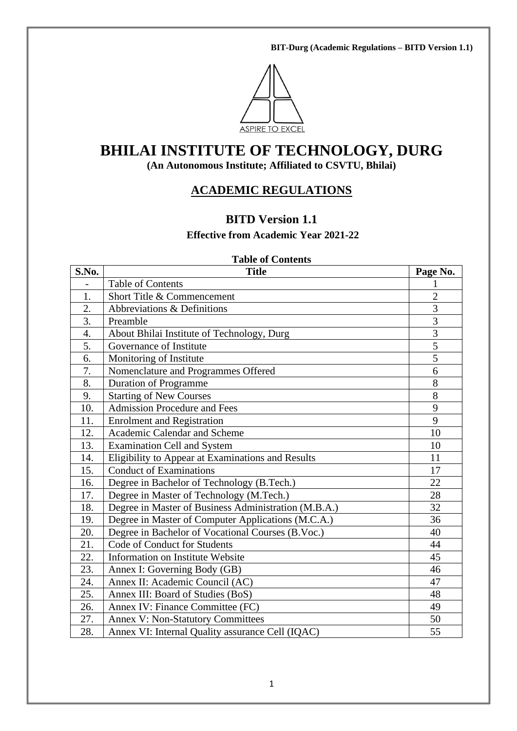

# **BHILAI INSTITUTE OF TECHNOLOGY, DURG**

**(An Autonomous Institute; Affiliated to CSVTU, Bhilai)**

# **ACADEMIC REGULATIONS**

# **BITD Version 1.1**

## **Effective from Academic Year 2021-22**

|  | <b>Table of Contents</b> |
|--|--------------------------|
|  |                          |

| S.No.            | <b>Title</b>                                         | Page No.       |
|------------------|------------------------------------------------------|----------------|
|                  | <b>Table of Contents</b>                             |                |
| 1.               | Short Title & Commencement                           | $\overline{2}$ |
| 2.               | Abbreviations & Definitions                          | 3              |
| 3.               | Preamble                                             | 3              |
| $\overline{4}$ . | About Bhilai Institute of Technology, Durg           | 3              |
| 5.               | Governance of Institute                              | 5              |
| 6.               | Monitoring of Institute                              | 5              |
| 7.               | Nomenclature and Programmes Offered                  | 6              |
| 8.               | <b>Duration of Programme</b>                         | 8              |
| 9.               | <b>Starting of New Courses</b>                       | 8              |
| 10.              | <b>Admission Procedure and Fees</b>                  | 9              |
| 11.              | <b>Enrolment and Registration</b>                    | 9              |
| 12.              | Academic Calendar and Scheme                         | 10             |
| 13.              | <b>Examination Cell and System</b>                   | 10             |
| 14.              | Eligibility to Appear at Examinations and Results    | 11             |
| 15.              | <b>Conduct of Examinations</b>                       | 17             |
| 16.              | Degree in Bachelor of Technology (B.Tech.)           | 22             |
| 17.              | Degree in Master of Technology (M.Tech.)             | 28             |
| 18.              | Degree in Master of Business Administration (M.B.A.) | 32             |
| 19.              | Degree in Master of Computer Applications (M.C.A.)   | 36             |
| 20.              | Degree in Bachelor of Vocational Courses (B.Voc.)    | 40             |
| 21.              | Code of Conduct for Students                         | 44             |
| 22.              | Information on Institute Website                     | 45             |
| 23.              | Annex I: Governing Body (GB)                         | 46             |
| 24.              | Annex II: Academic Council (AC)                      | 47             |
| 25.              | Annex III: Board of Studies (BoS)                    | 48             |
| 26.              | Annex IV: Finance Committee (FC)                     | 49             |
| 27.              | <b>Annex V: Non-Statutory Committees</b>             | 50             |
| 28.              | Annex VI: Internal Quality assurance Cell (IQAC)     | 55             |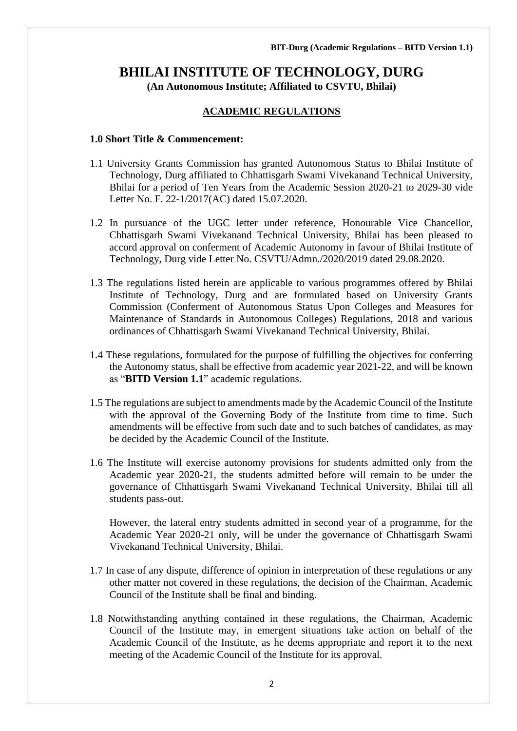# **BHILAI INSTITUTE OF TECHNOLOGY, DURG (An Autonomous Institute; Affiliated to CSVTU, Bhilai)**

#### **ACADEMIC REGULATIONS**

#### **1.0 Short Title & Commencement:**

- 1.1 University Grants Commission has granted Autonomous Status to Bhilai Institute of Technology, Durg affiliated to Chhattisgarh Swami Vivekanand Technical University, Bhilai for a period of Ten Years from the Academic Session 2020-21 to 2029-30 vide Letter No. F. 22-1/2017(AC) dated 15.07.2020.
- 1.2 In pursuance of the UGC letter under reference, Honourable Vice Chancellor, Chhattisgarh Swami Vivekanand Technical University, Bhilai has been pleased to accord approval on conferment of Academic Autonomy in favour of Bhilai Institute of Technology, Durg vide Letter No. CSVTU/Admn./2020/2019 dated 29.08.2020.
- 1.3 The regulations listed herein are applicable to various programmes offered by Bhilai Institute of Technology, Durg and are formulated based on University Grants Commission (Conferment of Autonomous Status Upon Colleges and Measures for Maintenance of Standards in Autonomous Colleges) Regulations, 2018 and various ordinances of Chhattisgarh Swami Vivekanand Technical University, Bhilai.
- 1.4 These regulations, formulated for the purpose of fulfilling the objectives for conferring the Autonomy status, shall be effective from academic year 2021-22, and will be known as "**BITD Version 1.1**" academic regulations.
- 1.5 The regulations are subject to amendments made by the Academic Council of the Institute with the approval of the Governing Body of the Institute from time to time. Such amendments will be effective from such date and to such batches of candidates, as may be decided by the Academic Council of the Institute.
- 1.6 The Institute will exercise autonomy provisions for students admitted only from the Academic year 2020-21, the students admitted before will remain to be under the governance of Chhattisgarh Swami Vivekanand Technical University, Bhilai till all students pass-out.

However, the lateral entry students admitted in second year of a programme, for the Academic Year 2020-21 only, will be under the governance of Chhattisgarh Swami Vivekanand Technical University, Bhilai.

- 1.7 In case of any dispute, difference of opinion in interpretation of these regulations or any other matter not covered in these regulations, the decision of the Chairman, Academic Council of the Institute shall be final and binding.
- 1.8 Notwithstanding anything contained in these regulations, the Chairman, Academic Council of the Institute may, in emergent situations take action on behalf of the Academic Council of the Institute, as he deems appropriate and report it to the next meeting of the Academic Council of the Institute for its approval.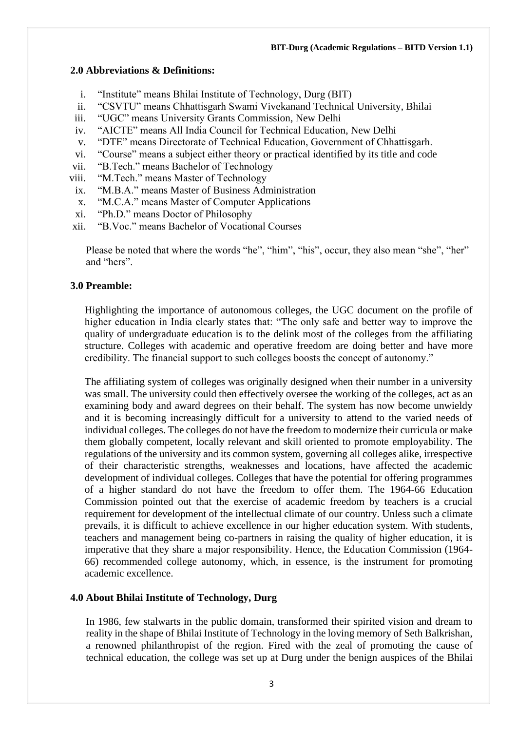#### **2.0 Abbreviations & Definitions:**

- i. "Institute" means Bhilai Institute of Technology, Durg (BIT)
- ii. "CSVTU" means Chhattisgarh Swami Vivekanand Technical University, Bhilai
- iii. "UGC" means University Grants Commission, New Delhi
- iv. "AICTE" means All India Council for Technical Education, New Delhi
- v. "DTE" means Directorate of Technical Education, Government of Chhattisgarh.
- vi. "Course" means a subject either theory or practical identified by its title and code
- vii. "B.Tech." means Bachelor of Technology
- viii. "M.Tech." means Master of Technology
- ix. "M.B.A." means Master of Business Administration
- x. "M.C.A." means Master of Computer Applications
- xi. "Ph.D." means Doctor of Philosophy
- xii. "B.Voc." means Bachelor of Vocational Courses

Please be noted that where the words "he", "him", "his", occur, they also mean "she", "her" and "hers".

### **3.0 Preamble:**

Highlighting the importance of autonomous colleges, the UGC document on the profile of higher education in India clearly states that: "The only safe and better way to improve the quality of undergraduate education is to the delink most of the colleges from the affiliating structure. Colleges with academic and operative freedom are doing better and have more credibility. The financial support to such colleges boosts the concept of autonomy."

The affiliating system of colleges was originally designed when their number in a university was small. The university could then effectively oversee the working of the colleges, act as an examining body and award degrees on their behalf. The system has now become unwieldy and it is becoming increasingly difficult for a university to attend to the varied needs of individual colleges. The colleges do not have the freedom to modernize their curricula or make them globally competent, locally relevant and skill oriented to promote employability. The regulations of the university and its common system, governing all colleges alike, irrespective of their characteristic strengths, weaknesses and locations, have affected the academic development of individual colleges. Colleges that have the potential for offering programmes of a higher standard do not have the freedom to offer them. The 1964-66 Education Commission pointed out that the exercise of academic freedom by teachers is a crucial requirement for development of the intellectual climate of our country. Unless such a climate prevails, it is difficult to achieve excellence in our higher education system. With students, teachers and management being co-partners in raising the quality of higher education, it is imperative that they share a major responsibility. Hence, the Education Commission (1964- 66) recommended college autonomy, which, in essence, is the instrument for promoting academic excellence.

### **4.0 About Bhilai Institute of Technology, Durg**

In 1986, few stalwarts in the public domain, transformed their spirited vision and dream to reality in the shape of Bhilai Institute of Technology in the loving memory of Seth Balkrishan, a renowned philanthropist of the region. Fired with the zeal of promoting the cause of technical education, the college was set up at Durg under the benign auspices of the Bhilai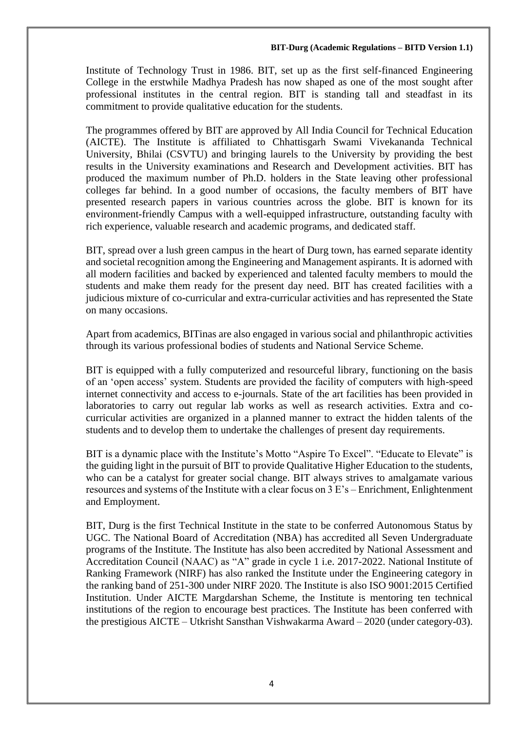Institute of Technology Trust in 1986. BIT, set up as the first self-financed Engineering College in the erstwhile Madhya Pradesh has now shaped as one of the most sought after professional institutes in the central region. BIT is standing tall and steadfast in its commitment to provide qualitative education for the students.

The programmes offered by BIT are approved by All India Council for Technical Education (AICTE). The Institute is affiliated to Chhattisgarh Swami Vivekananda Technical University, Bhilai (CSVTU) and bringing laurels to the University by providing the best results in the University examinations and Research and Development activities. BIT has produced the maximum number of Ph.D. holders in the State leaving other professional colleges far behind. In a good number of occasions, the faculty members of BIT have presented research papers in various countries across the globe. BIT is known for its environment-friendly Campus with a well-equipped infrastructure, outstanding faculty with rich experience, valuable research and academic programs, and dedicated staff.

BIT, spread over a lush green campus in the heart of Durg town, has earned separate identity and societal recognition among the Engineering and Management aspirants. It is adorned with all modern facilities and backed by experienced and talented faculty members to mould the students and make them ready for the present day need. BIT has created facilities with a judicious mixture of co-curricular and extra-curricular activities and has represented the State on many occasions.

Apart from academics, BITinas are also engaged in various social and philanthropic activities through its various professional bodies of students and National Service Scheme.

BIT is equipped with a fully computerized and resourceful library, functioning on the basis of an 'open access' system. Students are provided the facility of computers with high-speed internet connectivity and access to e-journals. State of the art facilities has been provided in laboratories to carry out regular lab works as well as research activities. Extra and cocurricular activities are organized in a planned manner to extract the hidden talents of the students and to develop them to undertake the challenges of present day requirements.

BIT is a dynamic place with the Institute's Motto "Aspire To Excel". "Educate to Elevate" is the guiding light in the pursuit of BIT to provide Qualitative Higher Education to the students, who can be a catalyst for greater social change. BIT always strives to amalgamate various resources and systems of the Institute with a clear focus on 3 E's – Enrichment, Enlightenment and Employment.

BIT, Durg is the first Technical Institute in the state to be conferred Autonomous Status by UGC. The National Board of Accreditation (NBA) has accredited all Seven Undergraduate programs of the Institute. The Institute has also been accredited by National Assessment and Accreditation Council (NAAC) as "A" grade in cycle 1 i.e. 2017-2022. National Institute of Ranking Framework (NIRF) has also ranked the Institute under the Engineering category in the ranking band of 251-300 under NIRF 2020. The Institute is also ISO 9001:2015 Certified Institution. Under AICTE Margdarshan Scheme, the Institute is mentoring ten technical institutions of the region to encourage best practices. The Institute has been conferred with the prestigious AICTE – Utkrisht Sansthan Vishwakarma Award – 2020 (under category-03).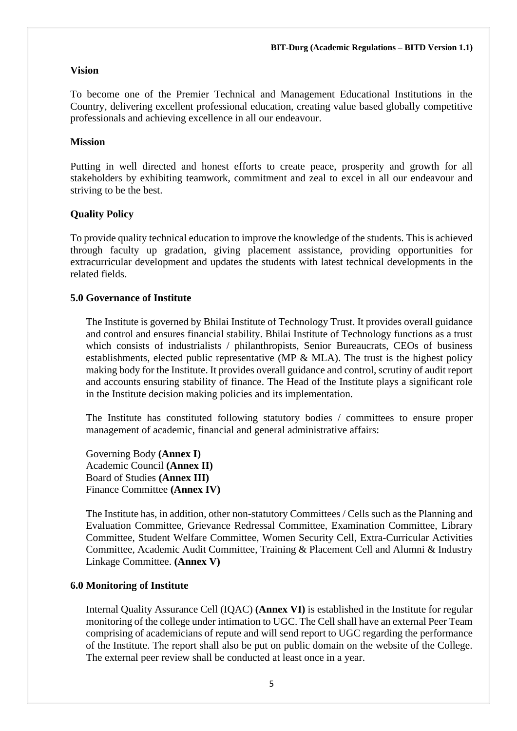### **Vision**

To become one of the Premier Technical and Management Educational Institutions in the Country, delivering excellent professional education, creating value based globally competitive professionals and achieving excellence in all our endeavour.

#### **Mission**

Putting in well directed and honest efforts to create peace, prosperity and growth for all stakeholders by exhibiting teamwork, commitment and zeal to excel in all our endeavour and striving to be the best.

### **Quality Policy**

To provide quality technical education to improve the knowledge of the students. This is achieved through faculty up gradation, giving placement assistance, providing opportunities for extracurricular development and updates the students with latest technical developments in the related fields.

### **5.0 Governance of Institute**

The Institute is governed by Bhilai Institute of Technology Trust. It provides overall guidance and control and ensures financial stability. Bhilai Institute of Technology functions as a trust which consists of industrialists / philanthropists, Senior Bureaucrats, CEOs of business establishments, elected public representative (MP  $\&$  MLA). The trust is the highest policy making body for the Institute. It provides overall guidance and control, scrutiny of audit report and accounts ensuring stability of finance. The Head of the Institute plays a significant role in the Institute decision making policies and its implementation.

The Institute has constituted following statutory bodies / committees to ensure proper management of academic, financial and general administrative affairs:

Governing Body **(Annex I)** Academic Council **(Annex II)** Board of Studies **(Annex III)**  Finance Committee **(Annex IV)** 

The Institute has, in addition, other non-statutory Committees / Cells such as the Planning and Evaluation Committee, Grievance Redressal Committee, Examination Committee, Library Committee, Student Welfare Committee, Women Security Cell, Extra-Curricular Activities Committee, Academic Audit Committee, Training & Placement Cell and Alumni & Industry Linkage Committee. **(Annex V)**

### **6.0 Monitoring of Institute**

Internal Quality Assurance Cell (IQAC) **(Annex VI)** is established in the Institute for regular monitoring of the college under intimation to UGC. The Cell shall have an external Peer Team comprising of academicians of repute and will send report to UGC regarding the performance of the Institute. The report shall also be put on public domain on the website of the College. The external peer review shall be conducted at least once in a year.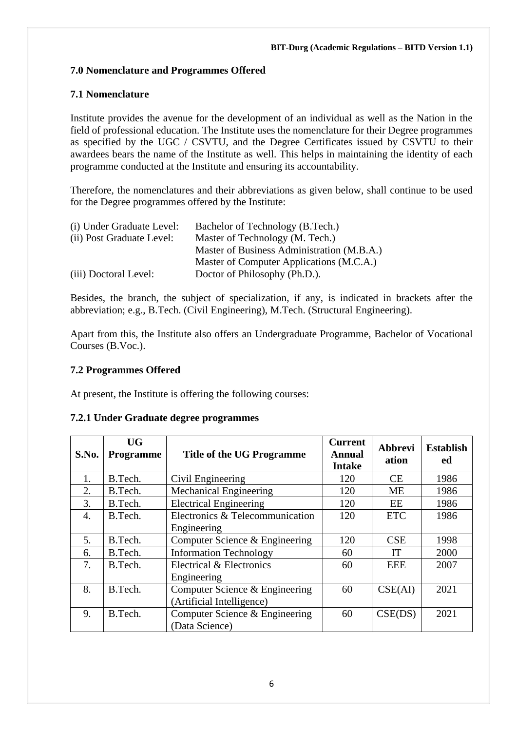# **7.0 Nomenclature and Programmes Offered**

# **7.1 Nomenclature**

Institute provides the avenue for the development of an individual as well as the Nation in the field of professional education. The Institute uses the nomenclature for their Degree programmes as specified by the UGC / CSVTU, and the Degree Certificates issued by CSVTU to their awardees bears the name of the Institute as well. This helps in maintaining the identity of each programme conducted at the Institute and ensuring its accountability.

Therefore, the nomenclatures and their abbreviations as given below, shall continue to be used for the Degree programmes offered by the Institute:

| (i) Under Graduate Level: | Bachelor of Technology (B.Tech.)           |
|---------------------------|--------------------------------------------|
| (ii) Post Graduate Level: | Master of Technology (M. Tech.)            |
|                           | Master of Business Administration (M.B.A.) |
|                           | Master of Computer Applications (M.C.A.)   |
| (iii) Doctoral Level:     | Doctor of Philosophy (Ph.D.).              |

Besides, the branch, the subject of specialization, if any, is indicated in brackets after the abbreviation; e.g., B.Tech. (Civil Engineering), M.Tech. (Structural Engineering).

Apart from this, the Institute also offers an Undergraduate Programme, Bachelor of Vocational Courses (B.Voc.).

# **7.2 Programmes Offered**

At present, the Institute is offering the following courses:

| S.No. | <b>UG</b><br><b>Programme</b> | <b>Title of the UG Programme</b> | <b>Current</b><br><b>Annual</b><br><b>Intake</b> | <b>Abbrevi</b><br>ation | <b>Establish</b><br>ed |
|-------|-------------------------------|----------------------------------|--------------------------------------------------|-------------------------|------------------------|
| 1.    | B.Tech.                       | Civil Engineering                | 120                                              | <b>CE</b>               | 1986                   |
| 2.    | B.Tech.                       | <b>Mechanical Engineering</b>    | 120                                              | <b>ME</b>               | 1986                   |
| 3.    | B.Tech.                       | <b>Electrical Engineering</b>    | 120                                              | EE                      | 1986                   |
| 4.    | B.Tech.                       | Electronics & Telecommunication  | 120                                              | <b>ETC</b>              | 1986                   |
|       |                               | Engineering                      |                                                  |                         |                        |
| 5.    | B.Tech.                       | Computer Science & Engineering   | 120                                              | <b>CSE</b>              | 1998                   |
| 6.    | B.Tech.                       | <b>Information Technology</b>    | 60                                               | <b>IT</b>               | 2000                   |
| 7.    | B.Tech.                       | Electrical & Electronics         | 60                                               | <b>EEE</b>              | 2007                   |
|       |                               | Engineering                      |                                                  |                         |                        |
| 8.    | B.Tech.                       | Computer Science & Engineering   | 60                                               | CSE(AI)                 | 2021                   |
|       |                               | (Artificial Intelligence)        |                                                  |                         |                        |
| 9.    | B.Tech.                       | Computer Science & Engineering   | 60                                               | CSE(DS)                 | 2021                   |
|       |                               | (Data Science)                   |                                                  |                         |                        |

### **7.2.1 Under Graduate degree programmes**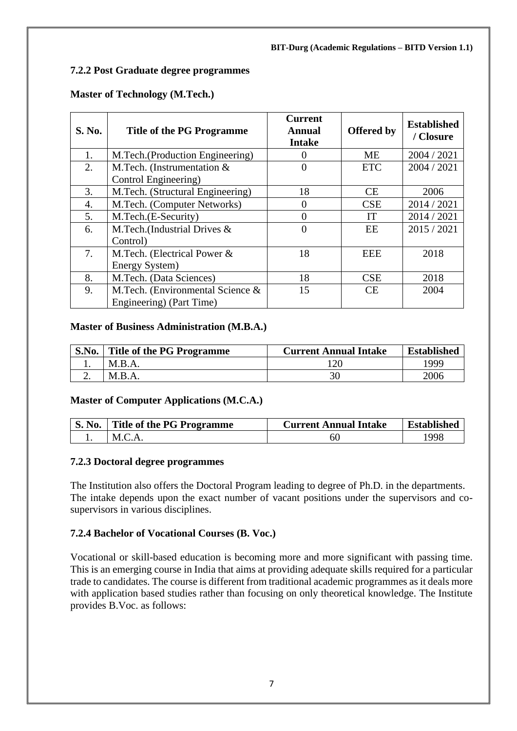### **7.2.2 Post Graduate degree programmes**

| S. No. | <b>Title of the PG Programme</b> | <b>Current</b><br><b>Annual</b><br><b>Intake</b> | <b>Offered by</b> | <b>Established</b><br>/ Closure |
|--------|----------------------------------|--------------------------------------------------|-------------------|---------------------------------|
| 1.     | M.Tech.(Production Engineering)  | 0                                                | <b>ME</b>         | 2004 / 2021                     |
| 2.     | M.Tech. (Instrumentation &       | $\overline{0}$                                   | <b>ETC</b>        | 2004 / 2021                     |
|        | Control Engineering)             |                                                  |                   |                                 |
| 3.     | M.Tech. (Structural Engineering) | 18                                               | <b>CE</b>         | 2006                            |
| 4.     | M.Tech. (Computer Networks)      | $\theta$                                         | <b>CSE</b>        | 2014 / 2021                     |
| 5.     | M.Tech.(E-Security)              | $\theta$                                         | IT                | 2014 / 2021                     |
| 6.     | M.Tech.(Industrial Drives &      | 0                                                | EE                | 2015/2021                       |
|        | Control)                         |                                                  |                   |                                 |
| 7.     | M.Tech. (Electrical Power &      | 18                                               | <b>EEE</b>        | 2018                            |
|        | Energy System)                   |                                                  |                   |                                 |
| 8.     | M.Tech. (Data Sciences)          | 18                                               | <b>CSE</b>        | 2018                            |
| 9.     | M.Tech. (Environmental Science & | 15                                               | <b>CE</b>         | 2004                            |
|        | Engineering) (Part Time)         |                                                  |                   |                                 |

### **Master of Technology (M.Tech.)**

#### **Master of Business Administration (M.B.A.)**

| S.No. | Title of the PG Programme | <b>Current Annual Intake</b> | <b>Established</b> |
|-------|---------------------------|------------------------------|--------------------|
|       | M.B.A                     |                              | 1999               |
|       | M.B.A.                    | 30                           | 2006               |

### **Master of Computer Applications (M.C.A.)**

| <b>S. No.</b> | Title of the PG Programme | <b>Current Annual Intake</b> | <b>Established</b> |
|---------------|---------------------------|------------------------------|--------------------|
|               | M.C.A.                    | 60                           | 998                |

#### **7.2.3 Doctoral degree programmes**

The Institution also offers the Doctoral Program leading to degree of Ph.D. in the departments. The intake depends upon the exact number of vacant positions under the supervisors and cosupervisors in various disciplines.

### **7.2.4 Bachelor of Vocational Courses (B. Voc.)**

Vocational or skill-based education is becoming more and more significant with passing time. This is an emerging course in India that aims at providing adequate skills required for a particular trade to candidates. The course is different from traditional academic programmes as it deals more with application based studies rather than focusing on only theoretical knowledge. The Institute provides B.Voc. as follows: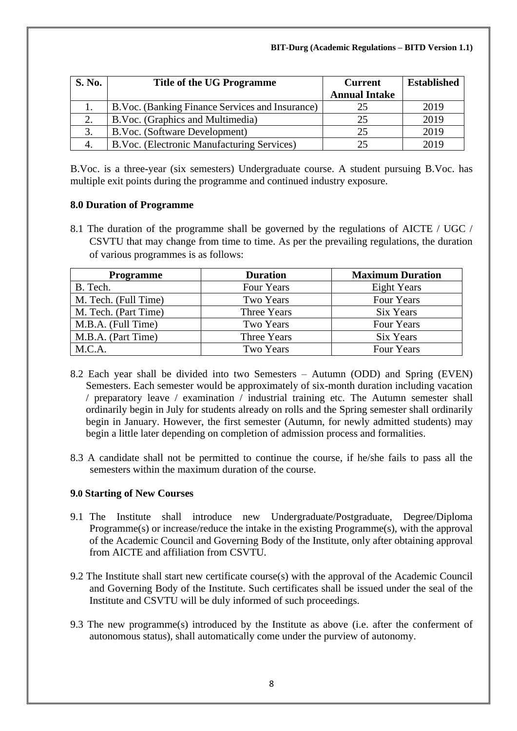| <b>S. No.</b> | Title of the UG Programme                        | <b>Current</b>       | <b>Established</b> |
|---------------|--------------------------------------------------|----------------------|--------------------|
|               |                                                  | <b>Annual Intake</b> |                    |
| Ι.            | B. Voc. (Banking Finance Services and Insurance) | 25                   | 2019               |
| 2.            | B.Voc. (Graphics and Multimedia)                 | 25                   | 2019               |
| 3.            | B.Voc. (Software Development)                    | 25                   | 2019               |
|               | B.Voc. (Electronic Manufacturing Services)       |                      | 2019               |

B.Voc. is a three-year (six semesters) Undergraduate course. A student pursuing B.Voc. has multiple exit points during the programme and continued industry exposure.

# **8.0 Duration of Programme**

8.1 The duration of the programme shall be governed by the regulations of AICTE / UGC / CSVTU that may change from time to time. As per the prevailing regulations, the duration of various programmes is as follows:

| <b>Programme</b>     | <b>Duration</b>   | <b>Maximum Duration</b> |
|----------------------|-------------------|-------------------------|
| B. Tech.             | <b>Four Years</b> | Eight Years             |
| M. Tech. (Full Time) | Two Years         | Four Years              |
| M. Tech. (Part Time) | Three Years       | Six Years               |
| M.B.A. (Full Time)   | Two Years         | Four Years              |
| M.B.A. (Part Time)   | Three Years       | Six Years               |
| M.C.A.               | Two Years         | Four Years              |

- 8.2 Each year shall be divided into two Semesters Autumn (ODD) and Spring (EVEN) Semesters. Each semester would be approximately of six-month duration including vacation / preparatory leave / examination / industrial training etc. The Autumn semester shall ordinarily begin in July for students already on rolls and the Spring semester shall ordinarily begin in January. However, the first semester (Autumn, for newly admitted students) may begin a little later depending on completion of admission process and formalities.
- 8.3 A candidate shall not be permitted to continue the course, if he/she fails to pass all the semesters within the maximum duration of the course.

# **9.0 Starting of New Courses**

- 9.1 The Institute shall introduce new Undergraduate/Postgraduate, Degree/Diploma Programme(s) or increase/reduce the intake in the existing Programme(s), with the approval of the Academic Council and Governing Body of the Institute, only after obtaining approval from AICTE and affiliation from CSVTU.
- 9.2 The Institute shall start new certificate course(s) with the approval of the Academic Council and Governing Body of the Institute. Such certificates shall be issued under the seal of the Institute and CSVTU will be duly informed of such proceedings.
- 9.3 The new programme(s) introduced by the Institute as above (i.e. after the conferment of autonomous status), shall automatically come under the purview of autonomy.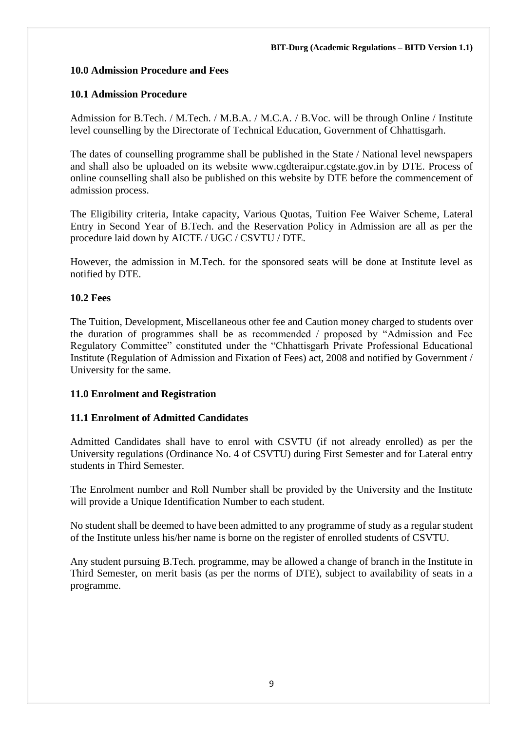### **10.0 Admission Procedure and Fees**

# **10.1 Admission Procedure**

Admission for B.Tech. / M.Tech. / M.B.A. / M.C.A. / B.Voc. will be through Online / Institute level counselling by the Directorate of Technical Education, Government of Chhattisgarh.

The dates of counselling programme shall be published in the State / National level newspapers and shall also be uploaded on its website www.cgdteraipur.cgstate.gov.in by DTE. Process of online counselling shall also be published on this website by DTE before the commencement of admission process.

The Eligibility criteria, Intake capacity, Various Quotas, Tuition Fee Waiver Scheme, Lateral Entry in Second Year of B.Tech. and the Reservation Policy in Admission are all as per the procedure laid down by AICTE / UGC / CSVTU / DTE.

However, the admission in M.Tech. for the sponsored seats will be done at Institute level as notified by DTE.

### **10.2 Fees**

The Tuition, Development, Miscellaneous other fee and Caution money charged to students over the duration of programmes shall be as recommended / proposed by "Admission and Fee Regulatory Committee" constituted under the "Chhattisgarh Private Professional Educational Institute (Regulation of Admission and Fixation of Fees) act, 2008 and notified by Government / University for the same.

### **11.0 Enrolment and Registration**

### **11.1 Enrolment of Admitted Candidates**

Admitted Candidates shall have to enrol with CSVTU (if not already enrolled) as per the University regulations (Ordinance No. 4 of CSVTU) during First Semester and for Lateral entry students in Third Semester.

The Enrolment number and Roll Number shall be provided by the University and the Institute will provide a Unique Identification Number to each student.

No student shall be deemed to have been admitted to any programme of study as a regular student of the Institute unless his/her name is borne on the register of enrolled students of CSVTU.

Any student pursuing B.Tech. programme, may be allowed a change of branch in the Institute in Third Semester, on merit basis (as per the norms of DTE), subject to availability of seats in a programme.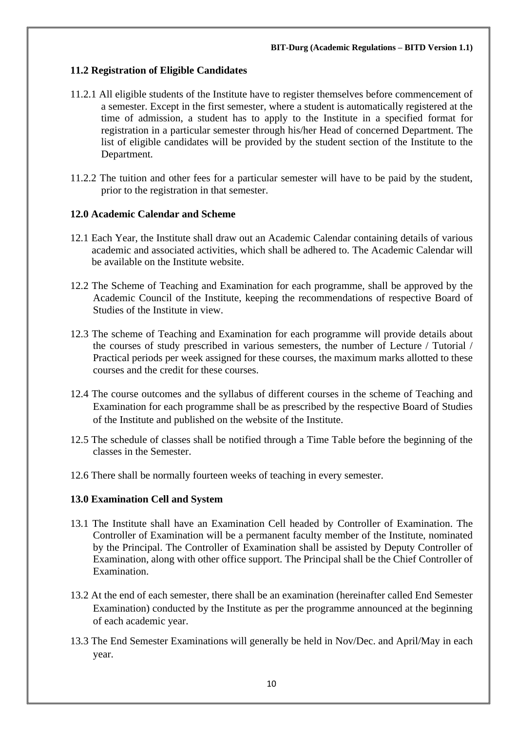### **11.2 Registration of Eligible Candidates**

- 11.2.1 All eligible students of the Institute have to register themselves before commencement of a semester. Except in the first semester, where a student is automatically registered at the time of admission, a student has to apply to the Institute in a specified format for registration in a particular semester through his/her Head of concerned Department. The list of eligible candidates will be provided by the student section of the Institute to the Department.
- 11.2.2 The tuition and other fees for a particular semester will have to be paid by the student, prior to the registration in that semester.

### **12.0 Academic Calendar and Scheme**

- 12.1 Each Year, the Institute shall draw out an Academic Calendar containing details of various academic and associated activities, which shall be adhered to. The Academic Calendar will be available on the Institute website.
- 12.2 The Scheme of Teaching and Examination for each programme, shall be approved by the Academic Council of the Institute, keeping the recommendations of respective Board of Studies of the Institute in view.
- 12.3 The scheme of Teaching and Examination for each programme will provide details about the courses of study prescribed in various semesters, the number of Lecture / Tutorial / Practical periods per week assigned for these courses, the maximum marks allotted to these courses and the credit for these courses.
- 12.4 The course outcomes and the syllabus of different courses in the scheme of Teaching and Examination for each programme shall be as prescribed by the respective Board of Studies of the Institute and published on the website of the Institute.
- 12.5 The schedule of classes shall be notified through a Time Table before the beginning of the classes in the Semester.
- 12.6 There shall be normally fourteen weeks of teaching in every semester.

# **13.0 Examination Cell and System**

- 13.1 The Institute shall have an Examination Cell headed by Controller of Examination. The Controller of Examination will be a permanent faculty member of the Institute, nominated by the Principal. The Controller of Examination shall be assisted by Deputy Controller of Examination, along with other office support. The Principal shall be the Chief Controller of Examination.
- 13.2 At the end of each semester, there shall be an examination (hereinafter called End Semester Examination) conducted by the Institute as per the programme announced at the beginning of each academic year.
- 13.3 The End Semester Examinations will generally be held in Nov/Dec. and April/May in each year.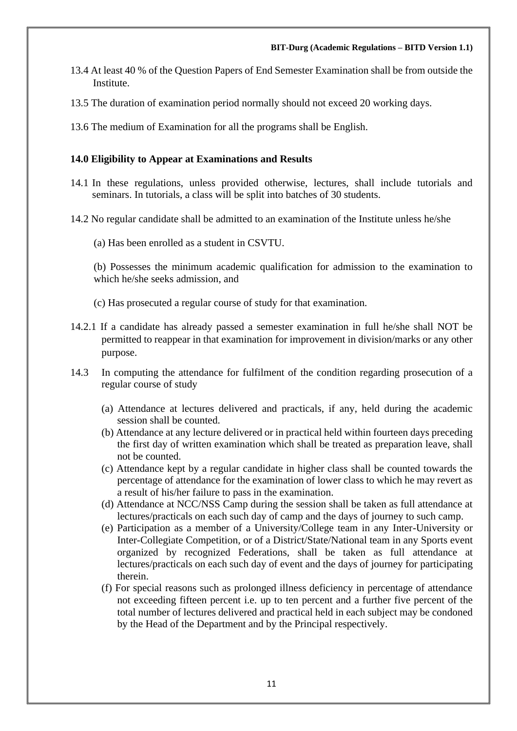- 13.4 At least 40 % of the Question Papers of End Semester Examination shall be from outside the Institute.
- 13.5 The duration of examination period normally should not exceed 20 working days.
- 13.6 The medium of Examination for all the programs shall be English.

#### **14.0 Eligibility to Appear at Examinations and Results**

- 14.1 In these regulations, unless provided otherwise, lectures, shall include tutorials and seminars. In tutorials, a class will be split into batches of 30 students.
- 14.2 No regular candidate shall be admitted to an examination of the Institute unless he/she
	- (a) Has been enrolled as a student in CSVTU.

(b) Possesses the minimum academic qualification for admission to the examination to which he/she seeks admission, and

- (c) Has prosecuted a regular course of study for that examination.
- 14.2.1 If a candidate has already passed a semester examination in full he/she shall NOT be permitted to reappear in that examination for improvement in division/marks or any other purpose.
- 14.3 In computing the attendance for fulfilment of the condition regarding prosecution of a regular course of study
	- (a) Attendance at lectures delivered and practicals, if any, held during the academic session shall be counted.
	- (b) Attendance at any lecture delivered or in practical held within fourteen days preceding the first day of written examination which shall be treated as preparation leave, shall not be counted.
	- (c) Attendance kept by a regular candidate in higher class shall be counted towards the percentage of attendance for the examination of lower class to which he may revert as a result of his/her failure to pass in the examination.
	- (d) Attendance at NCC/NSS Camp during the session shall be taken as full attendance at lectures/practicals on each such day of camp and the days of journey to such camp.
	- (e) Participation as a member of a University/College team in any Inter-University or Inter-Collegiate Competition, or of a District/State/National team in any Sports event organized by recognized Federations, shall be taken as full attendance at lectures/practicals on each such day of event and the days of journey for participating therein.
	- (f) For special reasons such as prolonged illness deficiency in percentage of attendance not exceeding fifteen percent i.e. up to ten percent and a further five percent of the total number of lectures delivered and practical held in each subject may be condoned by the Head of the Department and by the Principal respectively.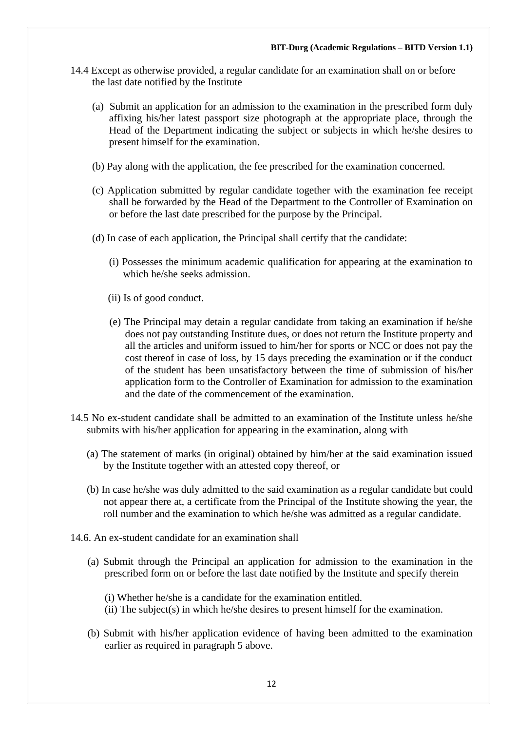- 14.4 Except as otherwise provided, a regular candidate for an examination shall on or before the last date notified by the Institute
	- (a) Submit an application for an admission to the examination in the prescribed form duly affixing his/her latest passport size photograph at the appropriate place, through the Head of the Department indicating the subject or subjects in which he/she desires to present himself for the examination.
	- (b) Pay along with the application, the fee prescribed for the examination concerned.
	- (c) Application submitted by regular candidate together with the examination fee receipt shall be forwarded by the Head of the Department to the Controller of Examination on or before the last date prescribed for the purpose by the Principal.
	- (d) In case of each application, the Principal shall certify that the candidate:
		- (i) Possesses the minimum academic qualification for appearing at the examination to which he/she seeks admission.
		- (ii) Is of good conduct.
		- (e) The Principal may detain a regular candidate from taking an examination if he/she does not pay outstanding Institute dues, or does not return the Institute property and all the articles and uniform issued to him/her for sports or NCC or does not pay the cost thereof in case of loss, by 15 days preceding the examination or if the conduct of the student has been unsatisfactory between the time of submission of his/her application form to the Controller of Examination for admission to the examination and the date of the commencement of the examination.
- 14.5 No ex-student candidate shall be admitted to an examination of the Institute unless he/she submits with his/her application for appearing in the examination, along with
	- (a) The statement of marks (in original) obtained by him/her at the said examination issued by the Institute together with an attested copy thereof, or
	- (b) In case he/she was duly admitted to the said examination as a regular candidate but could not appear there at, a certificate from the Principal of the Institute showing the year, the roll number and the examination to which he/she was admitted as a regular candidate.
- 14.6. An ex-student candidate for an examination shall
	- (a) Submit through the Principal an application for admission to the examination in the prescribed form on or before the last date notified by the Institute and specify therein
		- (i) Whether he/she is a candidate for the examination entitled.
		- (ii) The subject(s) in which he/she desires to present himself for the examination.
	- (b) Submit with his/her application evidence of having been admitted to the examination earlier as required in paragraph 5 above.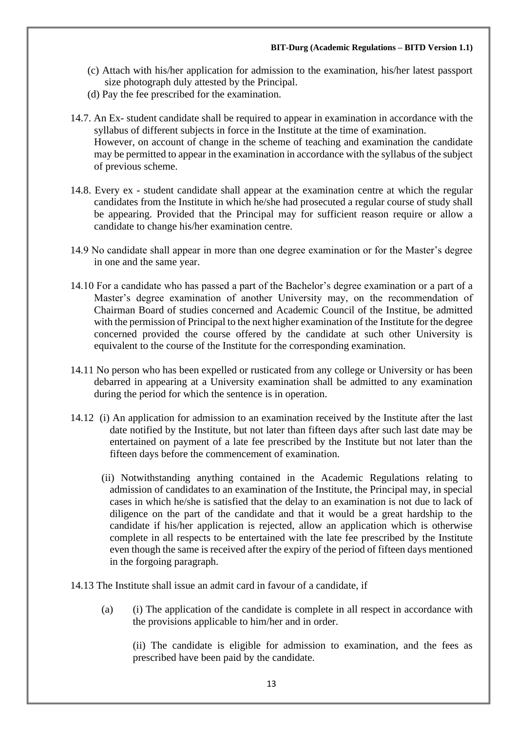- (c) Attach with his/her application for admission to the examination, his/her latest passport size photograph duly attested by the Principal.
- (d) Pay the fee prescribed for the examination.
- 14.7. An Ex- student candidate shall be required to appear in examination in accordance with the syllabus of different subjects in force in the Institute at the time of examination. However, on account of change in the scheme of teaching and examination the candidate may be permitted to appear in the examination in accordance with the syllabus of the subject of previous scheme.
- 14.8. Every ex student candidate shall appear at the examination centre at which the regular candidates from the Institute in which he/she had prosecuted a regular course of study shall be appearing. Provided that the Principal may for sufficient reason require or allow a candidate to change his/her examination centre.
- 14.9 No candidate shall appear in more than one degree examination or for the Master's degree in one and the same year.
- 14.10 For a candidate who has passed a part of the Bachelor's degree examination or a part of a Master's degree examination of another University may, on the recommendation of Chairman Board of studies concerned and Academic Council of the Institue, be admitted with the permission of Principal to the next higher examination of the Institute for the degree concerned provided the course offered by the candidate at such other University is equivalent to the course of the Institute for the corresponding examination.
- 14.11 No person who has been expelled or rusticated from any college or University or has been debarred in appearing at a University examination shall be admitted to any examination during the period for which the sentence is in operation.
- 14.12 (i) An application for admission to an examination received by the Institute after the last date notified by the Institute, but not later than fifteen days after such last date may be entertained on payment of a late fee prescribed by the Institute but not later than the fifteen days before the commencement of examination.
	- (ii) Notwithstanding anything contained in the Academic Regulations relating to admission of candidates to an examination of the Institute, the Principal may, in special cases in which he/she is satisfied that the delay to an examination is not due to lack of diligence on the part of the candidate and that it would be a great hardship to the candidate if his/her application is rejected, allow an application which is otherwise complete in all respects to be entertained with the late fee prescribed by the Institute even though the same is received after the expiry of the period of fifteen days mentioned in the forgoing paragraph.
- 14.13 The Institute shall issue an admit card in favour of a candidate, if
	- (a) (i) The application of the candidate is complete in all respect in accordance with the provisions applicable to him/her and in order.

(ii) The candidate is eligible for admission to examination, and the fees as prescribed have been paid by the candidate.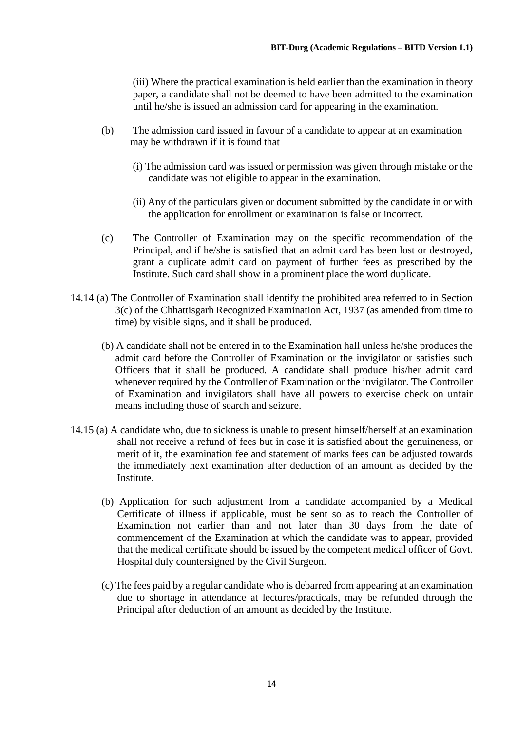(iii) Where the practical examination is held earlier than the examination in theory paper, a candidate shall not be deemed to have been admitted to the examination until he/she is issued an admission card for appearing in the examination.

- (b) The admission card issued in favour of a candidate to appear at an examination may be withdrawn if it is found that
	- (i) The admission card was issued or permission was given through mistake or the candidate was not eligible to appear in the examination.
	- (ii) Any of the particulars given or document submitted by the candidate in or with the application for enrollment or examination is false or incorrect.
- (c) The Controller of Examination may on the specific recommendation of the Principal, and if he/she is satisfied that an admit card has been lost or destroyed, grant a duplicate admit card on payment of further fees as prescribed by the Institute. Such card shall show in a prominent place the word duplicate.
- 14.14 (a) The Controller of Examination shall identify the prohibited area referred to in Section 3(c) of the Chhattisgarh Recognized Examination Act, 1937 (as amended from time to time) by visible signs, and it shall be produced.
	- (b) A candidate shall not be entered in to the Examination hall unless he/she produces the admit card before the Controller of Examination or the invigilator or satisfies such Officers that it shall be produced. A candidate shall produce his/her admit card whenever required by the Controller of Examination or the invigilator. The Controller of Examination and invigilators shall have all powers to exercise check on unfair means including those of search and seizure.
- 14.15 (a) A candidate who, due to sickness is unable to present himself/herself at an examination shall not receive a refund of fees but in case it is satisfied about the genuineness, or merit of it, the examination fee and statement of marks fees can be adjusted towards the immediately next examination after deduction of an amount as decided by the Institute.
	- (b) Application for such adjustment from a candidate accompanied by a Medical Certificate of illness if applicable, must be sent so as to reach the Controller of Examination not earlier than and not later than 30 days from the date of commencement of the Examination at which the candidate was to appear, provided that the medical certificate should be issued by the competent medical officer of Govt. Hospital duly countersigned by the Civil Surgeon.
	- (c) The fees paid by a regular candidate who is debarred from appearing at an examination due to shortage in attendance at lectures/practicals, may be refunded through the Principal after deduction of an amount as decided by the Institute.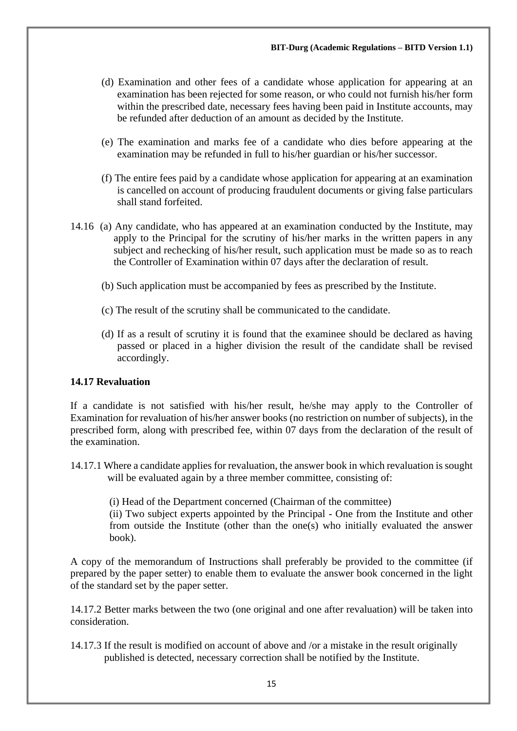- (d) Examination and other fees of a candidate whose application for appearing at an examination has been rejected for some reason, or who could not furnish his/her form within the prescribed date, necessary fees having been paid in Institute accounts, may be refunded after deduction of an amount as decided by the Institute.
- (e) The examination and marks fee of a candidate who dies before appearing at the examination may be refunded in full to his/her guardian or his/her successor.
- (f) The entire fees paid by a candidate whose application for appearing at an examination is cancelled on account of producing fraudulent documents or giving false particulars shall stand forfeited.
- 14.16 (a) Any candidate, who has appeared at an examination conducted by the Institute, may apply to the Principal for the scrutiny of his/her marks in the written papers in any subject and rechecking of his/her result, such application must be made so as to reach the Controller of Examination within 07 days after the declaration of result.
	- (b) Such application must be accompanied by fees as prescribed by the Institute.
	- (c) The result of the scrutiny shall be communicated to the candidate.
	- (d) If as a result of scrutiny it is found that the examinee should be declared as having passed or placed in a higher division the result of the candidate shall be revised accordingly.

### **14.17 Revaluation**

If a candidate is not satisfied with his/her result, he/she may apply to the Controller of Examination for revaluation of his/her answer books (no restriction on number of subjects), in the prescribed form, along with prescribed fee, within 07 days from the declaration of the result of the examination.

- 14.17.1 Where a candidate applies for revaluation, the answer book in which revaluation is sought will be evaluated again by a three member committee, consisting of:
	- (i) Head of the Department concerned (Chairman of the committee)

(ii) Two subject experts appointed by the Principal - One from the Institute and other from outside the Institute (other than the one(s) who initially evaluated the answer book).

A copy of the memorandum of Instructions shall preferably be provided to the committee (if prepared by the paper setter) to enable them to evaluate the answer book concerned in the light of the standard set by the paper setter.

14.17.2 Better marks between the two (one original and one after revaluation) will be taken into consideration.

14.17.3 If the result is modified on account of above and /or a mistake in the result originally published is detected, necessary correction shall be notified by the Institute.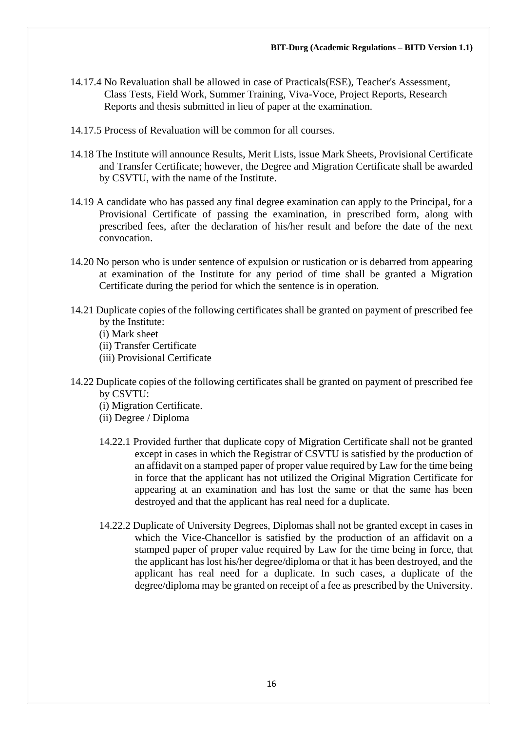- 14.17.4 No Revaluation shall be allowed in case of Practicals(ESE), Teacher's Assessment, Class Tests, Field Work, Summer Training, Viva-Voce, Project Reports, Research Reports and thesis submitted in lieu of paper at the examination.
- 14.17.5 Process of Revaluation will be common for all courses.
- 14.18 The Institute will announce Results, Merit Lists, issue Mark Sheets, Provisional Certificate and Transfer Certificate; however, the Degree and Migration Certificate shall be awarded by CSVTU, with the name of the Institute.
- 14.19 A candidate who has passed any final degree examination can apply to the Principal, for a Provisional Certificate of passing the examination, in prescribed form, along with prescribed fees, after the declaration of his/her result and before the date of the next convocation.
- 14.20 No person who is under sentence of expulsion or rustication or is debarred from appearing at examination of the Institute for any period of time shall be granted a Migration Certificate during the period for which the sentence is in operation.
- 14.21 Duplicate copies of the following certificates shall be granted on payment of prescribed fee by the Institute:
	- (i) Mark sheet
	- (ii) Transfer Certificate
	- (iii) Provisional Certificate
- 14.22 Duplicate copies of the following certificates shall be granted on payment of prescribed fee by CSVTU:
	- (i) Migration Certificate.
	- (ii) Degree / Diploma
	- 14.22.1 Provided further that duplicate copy of Migration Certificate shall not be granted except in cases in which the Registrar of CSVTU is satisfied by the production of an affidavit on a stamped paper of proper value required by Law for the time being in force that the applicant has not utilized the Original Migration Certificate for appearing at an examination and has lost the same or that the same has been destroyed and that the applicant has real need for a duplicate.
	- 14.22.2 Duplicate of University Degrees, Diplomas shall not be granted except in cases in which the Vice-Chancellor is satisfied by the production of an affidavit on a stamped paper of proper value required by Law for the time being in force, that the applicant has lost his/her degree/diploma or that it has been destroyed, and the applicant has real need for a duplicate. In such cases, a duplicate of the degree/diploma may be granted on receipt of a fee as prescribed by the University.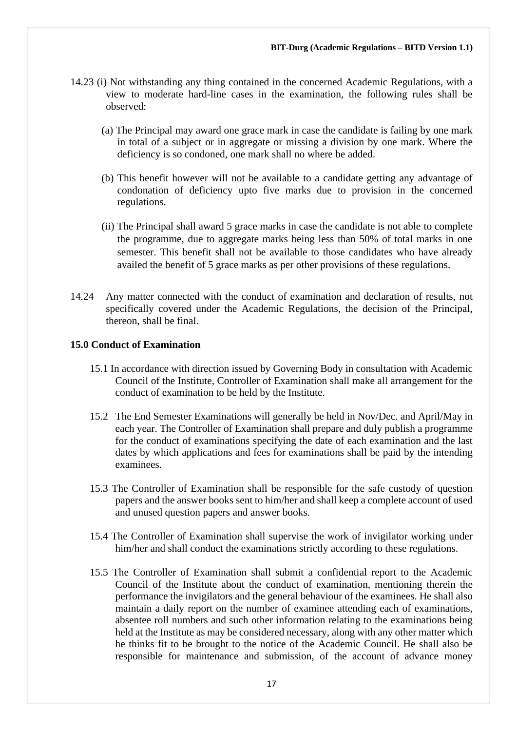- 14.23 (i) Not withstanding any thing contained in the concerned Academic Regulations, with a view to moderate hard-line cases in the examination, the following rules shall be observed:
	- (a) The Principal may award one grace mark in case the candidate is failing by one mark in total of a subject or in aggregate or missing a division by one mark. Where the deficiency is so condoned, one mark shall no where be added.
	- (b) This benefit however will not be available to a candidate getting any advantage of condonation of deficiency upto five marks due to provision in the concerned regulations.
	- (ii) The Principal shall award 5 grace marks in case the candidate is not able to complete the programme, due to aggregate marks being less than 50% of total marks in one semester. This benefit shall not be available to those candidates who have already availed the benefit of 5 grace marks as per other provisions of these regulations.
- 14.24 Any matter connected with the conduct of examination and declaration of results, not specifically covered under the Academic Regulations, the decision of the Principal, thereon, shall be final.

# **15.0 Conduct of Examination**

- 15.1 In accordance with direction issued by Governing Body in consultation with Academic Council of the Institute, Controller of Examination shall make all arrangement for the conduct of examination to be held by the Institute.
- 15.2 The End Semester Examinations will generally be held in Nov/Dec. and April/May in each year. The Controller of Examination shall prepare and duly publish a programme for the conduct of examinations specifying the date of each examination and the last dates by which applications and fees for examinations shall be paid by the intending examinees.
- 15.3 The Controller of Examination shall be responsible for the safe custody of question papers and the answer books sent to him/her and shall keep a complete account of used and unused question papers and answer books.
- 15.4 The Controller of Examination shall supervise the work of invigilator working under him/her and shall conduct the examinations strictly according to these regulations.
- 15.5 The Controller of Examination shall submit a confidential report to the Academic Council of the Institute about the conduct of examination, mentioning therein the performance the invigilators and the general behaviour of the examinees. He shall also maintain a daily report on the number of examinee attending each of examinations, absentee roll numbers and such other information relating to the examinations being held at the Institute as may be considered necessary, along with any other matter which he thinks fit to be brought to the notice of the Academic Council. He shall also be responsible for maintenance and submission, of the account of advance money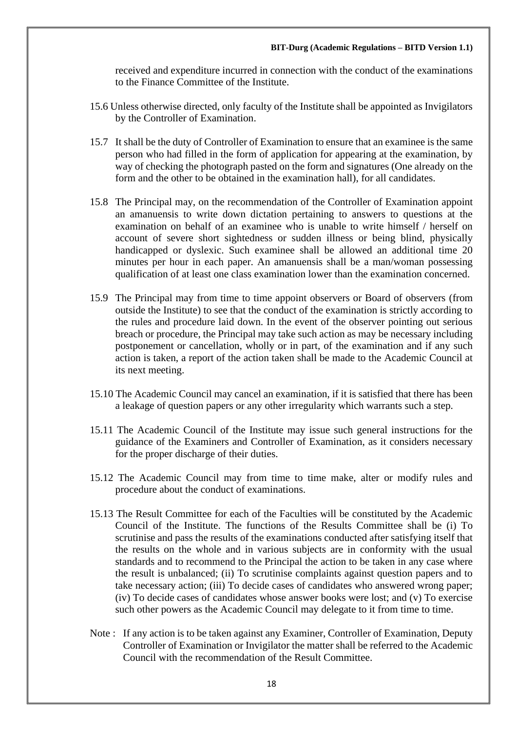received and expenditure incurred in connection with the conduct of the examinations to the Finance Committee of the Institute.

- 15.6 Unless otherwise directed, only faculty of the Institute shall be appointed as Invigilators by the Controller of Examination.
- 15.7 It shall be the duty of Controller of Examination to ensure that an examinee is the same person who had filled in the form of application for appearing at the examination, by way of checking the photograph pasted on the form and signatures (One already on the form and the other to be obtained in the examination hall), for all candidates.
- 15.8 The Principal may, on the recommendation of the Controller of Examination appoint an amanuensis to write down dictation pertaining to answers to questions at the examination on behalf of an examinee who is unable to write himself / herself on account of severe short sightedness or sudden illness or being blind, physically handicapped or dyslexic. Such examinee shall be allowed an additional time 20 minutes per hour in each paper. An amanuensis shall be a man/woman possessing qualification of at least one class examination lower than the examination concerned.
- 15.9 The Principal may from time to time appoint observers or Board of observers (from outside the Institute) to see that the conduct of the examination is strictly according to the rules and procedure laid down. In the event of the observer pointing out serious breach or procedure, the Principal may take such action as may be necessary including postponement or cancellation, wholly or in part, of the examination and if any such action is taken, a report of the action taken shall be made to the Academic Council at its next meeting.
- 15.10 The Academic Council may cancel an examination, if it is satisfied that there has been a leakage of question papers or any other irregularity which warrants such a step.
- 15.11 The Academic Council of the Institute may issue such general instructions for the guidance of the Examiners and Controller of Examination, as it considers necessary for the proper discharge of their duties.
- 15.12 The Academic Council may from time to time make, alter or modify rules and procedure about the conduct of examinations.
- 15.13 The Result Committee for each of the Faculties will be constituted by the Academic Council of the Institute. The functions of the Results Committee shall be (i) To scrutinise and pass the results of the examinations conducted after satisfying itself that the results on the whole and in various subjects are in conformity with the usual standards and to recommend to the Principal the action to be taken in any case where the result is unbalanced; (ii) To scrutinise complaints against question papers and to take necessary action; (iii) To decide cases of candidates who answered wrong paper; (iv) To decide cases of candidates whose answer books were lost; and (v) To exercise such other powers as the Academic Council may delegate to it from time to time.
- Note : If any action is to be taken against any Examiner, Controller of Examination, Deputy Controller of Examination or Invigilator the matter shall be referred to the Academic Council with the recommendation of the Result Committee.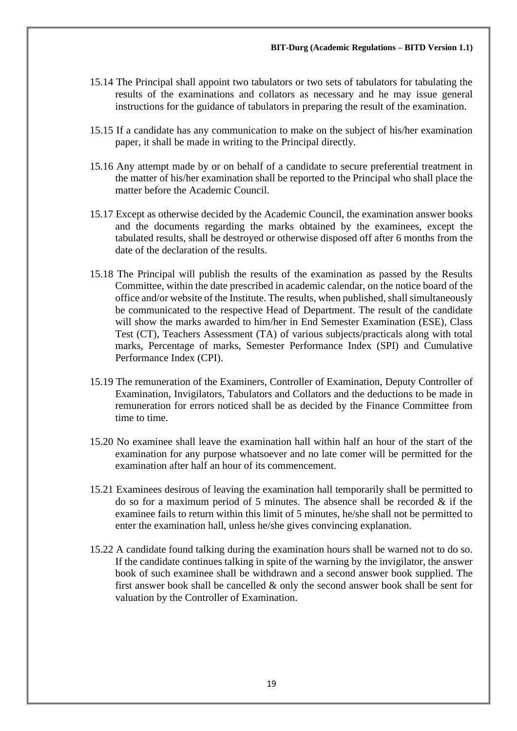- 15.14 The Principal shall appoint two tabulators or two sets of tabulators for tabulating the results of the examinations and collators as necessary and he may issue general instructions for the guidance of tabulators in preparing the result of the examination.
- 15.15 If a candidate has any communication to make on the subject of his/her examination paper, it shall be made in writing to the Principal directly.
- 15.16 Any attempt made by or on behalf of a candidate to secure preferential treatment in the matter of his/her examination shall be reported to the Principal who shall place the matter before the Academic Council.
- 15.17 Except as otherwise decided by the Academic Council, the examination answer books and the documents regarding the marks obtained by the examinees, except the tabulated results, shall be destroyed or otherwise disposed off after 6 months from the date of the declaration of the results.
- 15.18 The Principal will publish the results of the examination as passed by the Results Committee, within the date prescribed in academic calendar, on the notice board of the office and/or website of the Institute. The results, when published, shall simultaneously be communicated to the respective Head of Department. The result of the candidate will show the marks awarded to him/her in End Semester Examination (ESE), Class Test (CT), Teachers Assessment (TA) of various subjects/practicals along with total marks, Percentage of marks, Semester Performance Index (SPI) and Cumulative Performance Index (CPI).
- 15.19 The remuneration of the Examiners, Controller of Examination, Deputy Controller of Examination, Invigilators, Tabulators and Collators and the deductions to be made in remuneration for errors noticed shall be as decided by the Finance Committee from time to time.
- 15.20 No examinee shall leave the examination hall within half an hour of the start of the examination for any purpose whatsoever and no late comer will be permitted for the examination after half an hour of its commencement.
- 15.21 Examinees desirous of leaving the examination hall temporarily shall be permitted to do so for a maximum period of 5 minutes. The absence shall be recorded  $\&$  if the examinee fails to return within this limit of 5 minutes, he/she shall not be permitted to enter the examination hall, unless he/she gives convincing explanation.
- 15.22 A candidate found talking during the examination hours shall be warned not to do so. If the candidate continues talking in spite of the warning by the invigilator, the answer book of such examinee shall be withdrawn and a second answer book supplied. The first answer book shall be cancelled & only the second answer book shall be sent for valuation by the Controller of Examination.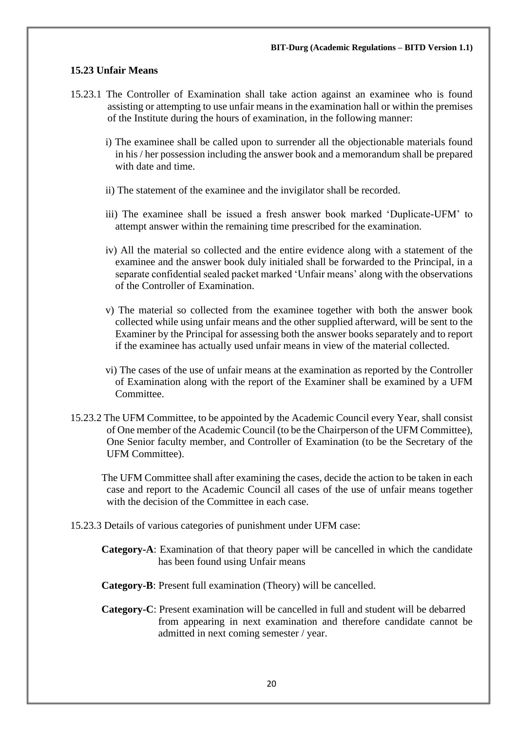# **15.23 Unfair Means**

- 15.23.1 The Controller of Examination shall take action against an examinee who is found assisting or attempting to use unfair means in the examination hall or within the premises of the Institute during the hours of examination, in the following manner:
	- i) The examinee shall be called upon to surrender all the objectionable materials found in his / her possession including the answer book and a memorandum shall be prepared with date and time.
	- ii) The statement of the examinee and the invigilator shall be recorded.
	- iii) The examinee shall be issued a fresh answer book marked 'Duplicate-UFM' to attempt answer within the remaining time prescribed for the examination.
	- iv) All the material so collected and the entire evidence along with a statement of the examinee and the answer book duly initialed shall be forwarded to the Principal, in a separate confidential sealed packet marked 'Unfair means' along with the observations of the Controller of Examination.
	- v) The material so collected from the examinee together with both the answer book collected while using unfair means and the other supplied afterward, will be sent to the Examiner by the Principal for assessing both the answer books separately and to report if the examinee has actually used unfair means in view of the material collected.
	- vi) The cases of the use of unfair means at the examination as reported by the Controller of Examination along with the report of the Examiner shall be examined by a UFM Committee.
- 15.23.2 The UFM Committee, to be appointed by the Academic Council every Year, shall consist of One member of the Academic Council (to be the Chairperson of the UFM Committee), One Senior faculty member, and Controller of Examination (to be the Secretary of the UFM Committee).

The UFM Committee shall after examining the cases, decide the action to be taken in each case and report to the Academic Council all cases of the use of unfair means together with the decision of the Committee in each case.

- 15.23.3 Details of various categories of punishment under UFM case:
	- **Category-A**: Examination of that theory paper will be cancelled in which the candidate has been found using Unfair means
	- **Category-B**: Present full examination (Theory) will be cancelled.
	- **Category-C**: Present examination will be cancelled in full and student will be debarred from appearing in next examination and therefore candidate cannot be admitted in next coming semester / year.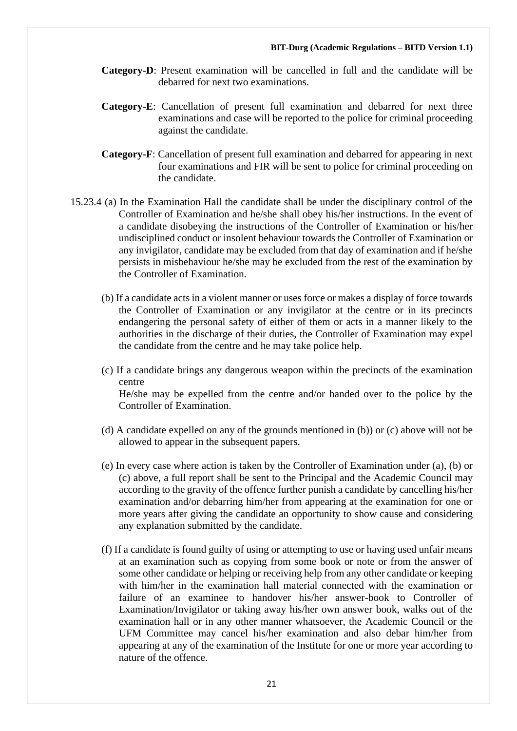- **Category-D**: Present examination will be cancelled in full and the candidate will be debarred for next two examinations.
- **Category-E**: Cancellation of present full examination and debarred for next three examinations and case will be reported to the police for criminal proceeding against the candidate.
- **Category-F**: Cancellation of present full examination and debarred for appearing in next four examinations and FIR will be sent to police for criminal proceeding on the candidate.
- 15.23.4 (a) In the Examination Hall the candidate shall be under the disciplinary control of the Controller of Examination and he/she shall obey his/her instructions. In the event of a candidate disobeying the instructions of the Controller of Examination or his/her undisciplined conduct or insolent behaviour towards the Controller of Examination or any invigilator, candidate may be excluded from that day of examination and if he/she persists in misbehaviour he/she may be excluded from the rest of the examination by the Controller of Examination.
	- (b) If a candidate acts in a violent manner or uses force or makes a display of force towards the Controller of Examination or any invigilator at the centre or in its precincts endangering the personal safety of either of them or acts in a manner likely to the authorities in the discharge of their duties, the Controller of Examination may expel the candidate from the centre and he may take police help.
	- (c) If a candidate brings any dangerous weapon within the precincts of the examination centre He/she may be expelled from the centre and/or handed over to the police by the Controller of Examination.
	- (d) A candidate expelled on any of the grounds mentioned in (b)) or (c) above will not be allowed to appear in the subsequent papers.
	- (e) In every case where action is taken by the Controller of Examination under (a), (b) or (c) above, a full report shall be sent to the Principal and the Academic Council may according to the gravity of the offence further punish a candidate by cancelling his/her examination and/or debarring him/her from appearing at the examination for one or more years after giving the candidate an opportunity to show cause and considering any explanation submitted by the candidate.
	- (f) If a candidate is found guilty of using or attempting to use or having used unfair means at an examination such as copying from some book or note or from the answer of some other candidate or helping or receiving help from any other candidate or keeping with him/her in the examination hall material connected with the examination or failure of an examinee to handover his/her answer-book to Controller of Examination/Invigilator or taking away his/her own answer book, walks out of the examination hall or in any other manner whatsoever, the Academic Council or the UFM Committee may cancel his/her examination and also debar him/her from appearing at any of the examination of the Institute for one or more year according to nature of the offence.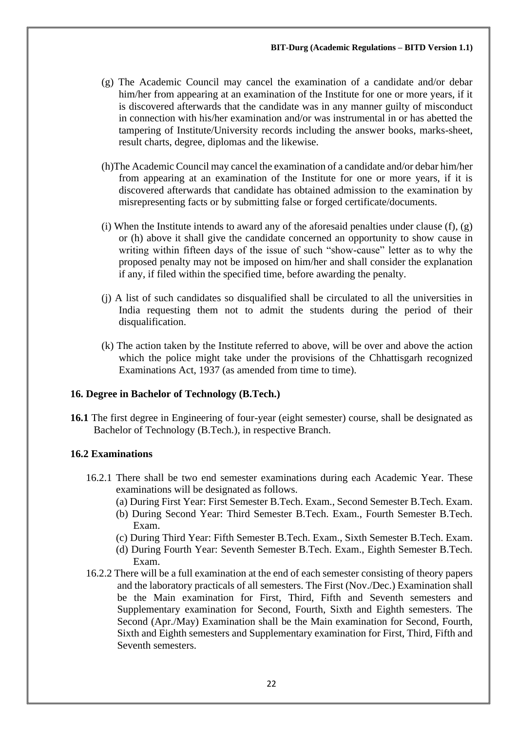- (g) The Academic Council may cancel the examination of a candidate and/or debar him/her from appearing at an examination of the Institute for one or more years, if it is discovered afterwards that the candidate was in any manner guilty of misconduct in connection with his/her examination and/or was instrumental in or has abetted the tampering of Institute/University records including the answer books, marks-sheet, result charts, degree, diplomas and the likewise.
- (h)The Academic Council may cancel the examination of a candidate and/or debar him/her from appearing at an examination of the Institute for one or more years, if it is discovered afterwards that candidate has obtained admission to the examination by misrepresenting facts or by submitting false or forged certificate/documents.
- (i) When the Institute intends to award any of the aforesaid penalties under clause  $(f)$ ,  $(g)$ or (h) above it shall give the candidate concerned an opportunity to show cause in writing within fifteen days of the issue of such "show-cause" letter as to why the proposed penalty may not be imposed on him/her and shall consider the explanation if any, if filed within the specified time, before awarding the penalty.
- (j) A list of such candidates so disqualified shall be circulated to all the universities in India requesting them not to admit the students during the period of their disqualification.
- (k) The action taken by the Institute referred to above, will be over and above the action which the police might take under the provisions of the Chhattisgarh recognized Examinations Act, 1937 (as amended from time to time).

### **16. Degree in Bachelor of Technology (B.Tech.)**

**16.1** The first degree in Engineering of four-year (eight semester) course, shall be designated as Bachelor of Technology (B.Tech.), in respective Branch.

### **16.2 Examinations**

- 16.2.1 There shall be two end semester examinations during each Academic Year. These examinations will be designated as follows.
	- (a) During First Year: First Semester B.Tech. Exam., Second Semester B.Tech. Exam.
	- (b) During Second Year: Third Semester B.Tech. Exam., Fourth Semester B.Tech. Exam.
	- (c) During Third Year: Fifth Semester B.Tech. Exam., Sixth Semester B.Tech. Exam.
	- (d) During Fourth Year: Seventh Semester B.Tech. Exam., Eighth Semester B.Tech. Exam.
- 16.2.2 There will be a full examination at the end of each semester consisting of theory papers and the laboratory practicals of all semesters. The First (Nov./Dec.) Examination shall be the Main examination for First, Third, Fifth and Seventh semesters and Supplementary examination for Second, Fourth, Sixth and Eighth semesters. The Second (Apr./May) Examination shall be the Main examination for Second, Fourth, Sixth and Eighth semesters and Supplementary examination for First, Third, Fifth and Seventh semesters.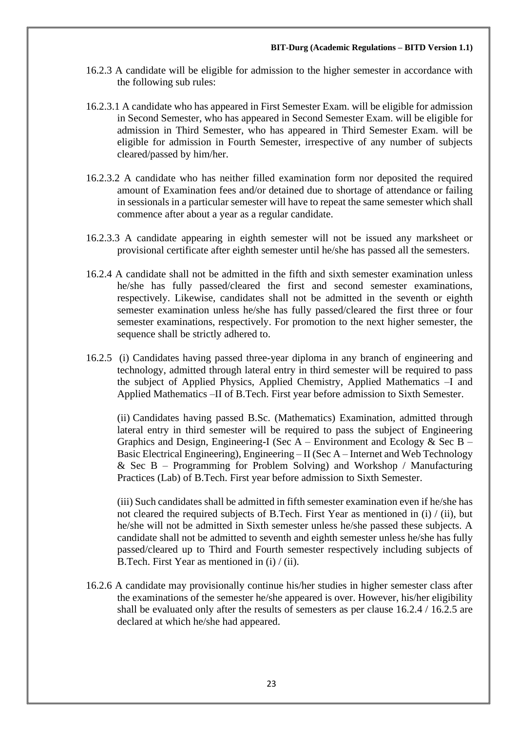- 16.2.3 A candidate will be eligible for admission to the higher semester in accordance with the following sub rules:
- 16.2.3.1 A candidate who has appeared in First Semester Exam. will be eligible for admission in Second Semester, who has appeared in Second Semester Exam. will be eligible for admission in Third Semester, who has appeared in Third Semester Exam. will be eligible for admission in Fourth Semester, irrespective of any number of subjects cleared/passed by him/her.
- 16.2.3.2 A candidate who has neither filled examination form nor deposited the required amount of Examination fees and/or detained due to shortage of attendance or failing in sessionals in a particular semester will have to repeat the same semester which shall commence after about a year as a regular candidate.
- 16.2.3.3 A candidate appearing in eighth semester will not be issued any marksheet or provisional certificate after eighth semester until he/she has passed all the semesters.
- 16.2.4 A candidate shall not be admitted in the fifth and sixth semester examination unless he/she has fully passed/cleared the first and second semester examinations, respectively. Likewise, candidates shall not be admitted in the seventh or eighth semester examination unless he/she has fully passed/cleared the first three or four semester examinations, respectively. For promotion to the next higher semester, the sequence shall be strictly adhered to.
- 16.2.5 (i) Candidates having passed three-year diploma in any branch of engineering and technology, admitted through lateral entry in third semester will be required to pass the subject of Applied Physics, Applied Chemistry, Applied Mathematics –I and Applied Mathematics –II of B.Tech. First year before admission to Sixth Semester.

(ii) Candidates having passed B.Sc. (Mathematics) Examination, admitted through lateral entry in third semester will be required to pass the subject of Engineering Graphics and Design, Engineering-I (Sec A – Environment and Ecology & Sec B – Basic Electrical Engineering), Engineering – II (Sec A – Internet and Web Technology & Sec B – Programming for Problem Solving) and Workshop / Manufacturing Practices (Lab) of B.Tech. First year before admission to Sixth Semester.

(iii) Such candidates shall be admitted in fifth semester examination even if he/she has not cleared the required subjects of B.Tech. First Year as mentioned in (i) / (ii), but he/she will not be admitted in Sixth semester unless he/she passed these subjects. A candidate shall not be admitted to seventh and eighth semester unless he/she has fully passed/cleared up to Third and Fourth semester respectively including subjects of B.Tech. First Year as mentioned in (i) / (ii).

16.2.6 A candidate may provisionally continue his/her studies in higher semester class after the examinations of the semester he/she appeared is over. However, his/her eligibility shall be evaluated only after the results of semesters as per clause 16.2.4 / 16.2.5 are declared at which he/she had appeared.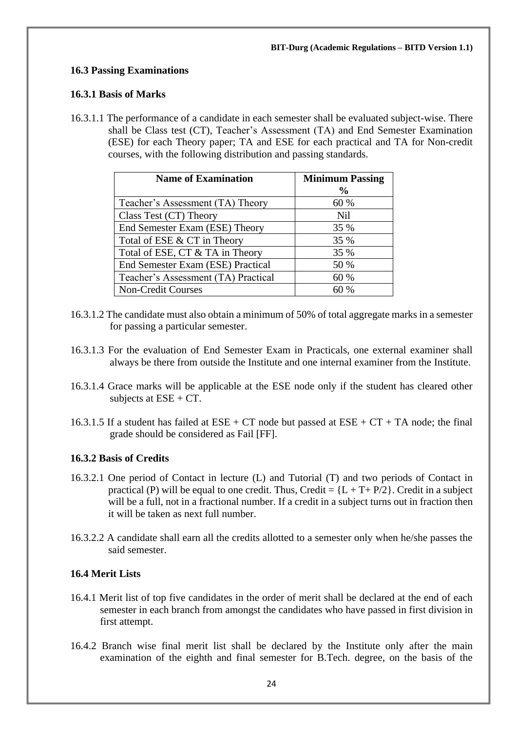### **16.3 Passing Examinations**

### **16.3.1 Basis of Marks**

16.3.1.1 The performance of a candidate in each semester shall be evaluated subject-wise. There shall be Class test (CT), Teacher's Assessment (TA) and End Semester Examination (ESE) for each Theory paper; TA and ESE for each practical and TA for Non-credit courses, with the following distribution and passing standards.

| <b>Name of Examination</b>          | <b>Minimum Passing</b> |
|-------------------------------------|------------------------|
|                                     | $\frac{0}{0}$          |
| Teacher's Assessment (TA) Theory    | 60 %                   |
| Class Test (CT) Theory              | <b>Nil</b>             |
| End Semester Exam (ESE) Theory      | 35 %                   |
| Total of ESE & CT in Theory         | 35 %                   |
| Total of ESE, CT & TA in Theory     | 35 %                   |
| End Semester Exam (ESE) Practical   | 50 %                   |
| Teacher's Assessment (TA) Practical | 60 %                   |
| <b>Non-Credit Courses</b>           | 60 %                   |

- 16.3.1.2 The candidate must also obtain a minimum of 50% of total aggregate marks in a semester for passing a particular semester.
- 16.3.1.3 For the evaluation of End Semester Exam in Practicals, one external examiner shall always be there from outside the Institute and one internal examiner from the Institute.
- 16.3.1.4 Grace marks will be applicable at the ESE node only if the student has cleared other subjects at  $ESE + CT$ .
- 16.3.1.5 If a student has failed at  $ESE + CT$  node but passed at  $ESE + CT + TA$  node; the final grade should be considered as Fail [FF].

# **16.3.2 Basis of Credits**

- 16.3.2.1 One period of Contact in lecture (L) and Tutorial (T) and two periods of Contact in practical (P) will be equal to one credit. Thus, Credit =  ${L + T + P/2}$ . Credit in a subject will be a full, not in a fractional number. If a credit in a subject turns out in fraction then it will be taken as next full number.
- 16.3.2.2 A candidate shall earn all the credits allotted to a semester only when he/she passes the said semester.

# **16.4 Merit Lists**

- 16.4.1 Merit list of top five candidates in the order of merit shall be declared at the end of each semester in each branch from amongst the candidates who have passed in first division in first attempt.
- 16.4.2 Branch wise final merit list shall be declared by the Institute only after the main examination of the eighth and final semester for B.Tech. degree, on the basis of the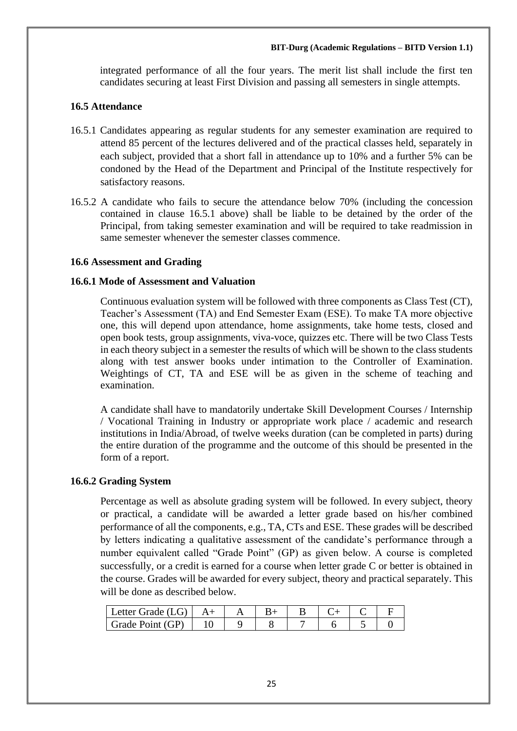integrated performance of all the four years. The merit list shall include the first ten candidates securing at least First Division and passing all semesters in single attempts.

#### **16.5 Attendance**

- 16.5.1 Candidates appearing as regular students for any semester examination are required to attend 85 percent of the lectures delivered and of the practical classes held, separately in each subject, provided that a short fall in attendance up to 10% and a further 5% can be condoned by the Head of the Department and Principal of the Institute respectively for satisfactory reasons.
- 16.5.2 A candidate who fails to secure the attendance below 70% (including the concession contained in clause 16.5.1 above) shall be liable to be detained by the order of the Principal, from taking semester examination and will be required to take readmission in same semester whenever the semester classes commence.

#### **16.6 Assessment and Grading**

#### **16.6.1 Mode of Assessment and Valuation**

Continuous evaluation system will be followed with three components as Class Test (CT), Teacher's Assessment (TA) and End Semester Exam (ESE). To make TA more objective one, this will depend upon attendance, home assignments, take home tests, closed and open book tests, group assignments, viva-voce, quizzes etc. There will be two Class Tests in each theory subject in a semester the results of which will be shown to the class students along with test answer books under intimation to the Controller of Examination. Weightings of CT, TA and ESE will be as given in the scheme of teaching and examination.

A candidate shall have to mandatorily undertake Skill Development Courses / Internship / Vocational Training in Industry or appropriate work place / academic and research institutions in India/Abroad, of twelve weeks duration (can be completed in parts) during the entire duration of the programme and the outcome of this should be presented in the form of a report.

#### **16.6.2 Grading System**

Percentage as well as absolute grading system will be followed. In every subject, theory or practical, a candidate will be awarded a letter grade based on his/her combined performance of all the components, e.g., TA, CTs and ESE. These grades will be described by letters indicating a qualitative assessment of the candidate's performance through a number equivalent called "Grade Point" (GP) as given below. A course is completed successfully, or a credit is earned for a course when letter grade C or better is obtained in the course. Grades will be awarded for every subject, theory and practical separately. This will be done as described below.

| Letter Grade $(LG)$ |  |  |  |  |
|---------------------|--|--|--|--|
| Grade Point (GP)    |  |  |  |  |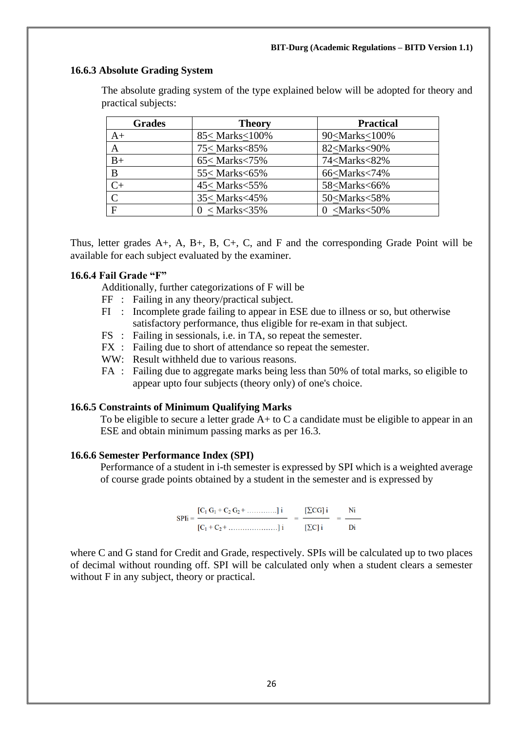#### **16.6.3 Absolute Grading System**

The absolute grading system of the type explained below will be adopted for theory and practical subjects:

| <b>Grades</b>       | <b>Theory</b>                                                                    | <b>Practical</b>                     |
|---------------------|----------------------------------------------------------------------------------|--------------------------------------|
| $A+$                | 85 <marks<100%< td=""><td>90<marks<100%< td=""></marks<100%<></td></marks<100%<> | 90 <marks<100%< td=""></marks<100%<> |
| A                   | 75 <marks<85%< td=""><td>82<marks<90%< td=""></marks<90%<></td></marks<85%<>     | 82 <marks<90%< td=""></marks<90%<>   |
| $B+$                | $65<$ Marks $<$ 75%                                                              | 74 <marks<82%< td=""></marks<82%<>   |
| B                   | 55 <marks<65%< td=""><td>66<marks<74%< td=""></marks<74%<></td></marks<65%<>     | 66 <marks<74%< td=""></marks<74%<>   |
| $\overline{\rm C+}$ | 45 <marks<55%< td=""><td>58<marks<66%< td=""></marks<66%<></td></marks<55%<>     | 58 <marks<66%< td=""></marks<66%<>   |
| $\mathsf{C}$        | 35 <marks<45%< td=""><td>50<marks<58%< td=""></marks<58%<></td></marks<45%<>     | 50 <marks<58%< td=""></marks<58%<>   |
| F                   | $0 <$ Marks $<$ 35%                                                              | $0 \leq$ Marks $\leq$ 50%            |

Thus, letter grades A+, A, B+, B, C+, C, and F and the corresponding Grade Point will be available for each subject evaluated by the examiner.

#### **16.6.4 Fail Grade "F"**

Additionally, further categorizations of F will be

- FF : Failing in any theory/practical subject.
- FI : Incomplete grade failing to appear in ESE due to illness or so, but otherwise satisfactory performance, thus eligible for re-exam in that subject.
- FS : Failing in sessionals, i.e. in TA, so repeat the semester.
- FX : Failing due to short of attendance so repeat the semester.
- WW: Result withheld due to various reasons.
- FA : Failing due to aggregate marks being less than 50% of total marks, so eligible to appear upto four subjects (theory only) of one's choice.

### **16.6.5 Constraints of Minimum Qualifying Marks**

To be eligible to secure a letter grade  $A+$  to C a candidate must be eligible to appear in an ESE and obtain minimum passing marks as per 16.3.

#### **16.6.6 Semester Performance Index (SPI)**

Performance of a student in i-th semester is expressed by SPI which is a weighted average of course grade points obtained by a student in the semester and is expressed by

$$
SPIi = \frac{[C_1 G_1 + C_2 G_2 + \dots \dots \dots \dots ]i}{[C_1 + C_2 + \dots \dots \dots \dots \dots ]i} = \frac{[\sum G]}{[\sum C]i} = \frac{Ni}{Di}
$$

where C and G stand for Credit and Grade, respectively. SPIs will be calculated up to two places of decimal without rounding off. SPI will be calculated only when a student clears a semester without F in any subject, theory or practical.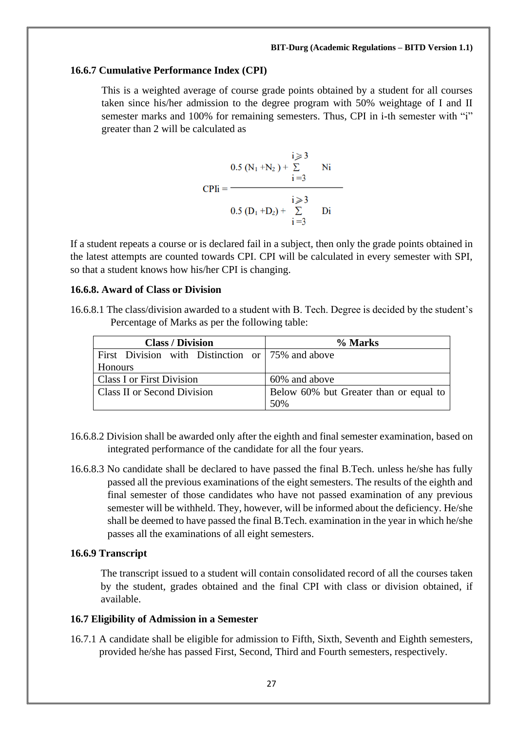#### **16.6.7 Cumulative Performance Index (CPI)**

This is a weighted average of course grade points obtained by a student for all courses taken since his/her admission to the degree program with 50% weightage of I and II semester marks and 100% for remaining semesters. Thus, CPI in i-th semester with "i" greater than 2 will be calculated as

$$
0.5 (N_1 + N_2) + \sum_{i=3}^{i \geq 3} N_i
$$
  
CPIi = 
$$
\frac{i > 3}{0.5 (D_1 + D_2) + \sum_{i=3}^{i > 3} D_i}
$$

If a student repeats a course or is declared fail in a subject, then only the grade points obtained in the latest attempts are counted towards CPI. CPI will be calculated in every semester with SPI, so that a student knows how his/her CPI is changing.

#### **16.6.8. Award of Class or Division**

16.6.8.1 The class/division awarded to a student with B. Tech. Degree is decided by the student's Percentage of Marks as per the following table:

| <b>Class / Division</b>                          | % Marks                                |
|--------------------------------------------------|----------------------------------------|
| First Division with Distinction or 75% and above |                                        |
| <b>Honours</b>                                   |                                        |
| <b>Class I or First Division</b>                 | 60% and above                          |
| <b>Class II or Second Division</b>               | Below 60% but Greater than or equal to |
|                                                  | 50%                                    |

- 16.6.8.2 Division shall be awarded only after the eighth and final semester examination, based on integrated performance of the candidate for all the four years.
- 16.6.8.3 No candidate shall be declared to have passed the final B.Tech. unless he/she has fully passed all the previous examinations of the eight semesters. The results of the eighth and final semester of those candidates who have not passed examination of any previous semester will be withheld. They, however, will be informed about the deficiency. He/she shall be deemed to have passed the final B.Tech. examination in the year in which he/she passes all the examinations of all eight semesters.

#### **16.6.9 Transcript**

The transcript issued to a student will contain consolidated record of all the courses taken by the student, grades obtained and the final CPI with class or division obtained, if available.

### **16.7 Eligibility of Admission in a Semester**

16.7.1 A candidate shall be eligible for admission to Fifth, Sixth, Seventh and Eighth semesters, provided he/she has passed First, Second, Third and Fourth semesters, respectively.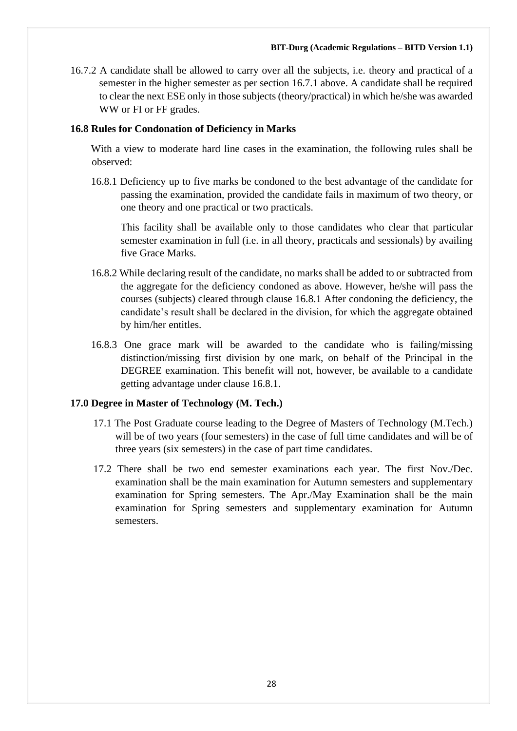16.7.2 A candidate shall be allowed to carry over all the subjects, i.e. theory and practical of a semester in the higher semester as per section 16.7.1 above. A candidate shall be required to clear the next ESE only in those subjects (theory/practical) in which he/she was awarded WW or FI or FF grades.

### **16.8 Rules for Condonation of Deficiency in Marks**

With a view to moderate hard line cases in the examination, the following rules shall be observed:

16.8.1 Deficiency up to five marks be condoned to the best advantage of the candidate for passing the examination, provided the candidate fails in maximum of two theory, or one theory and one practical or two practicals.

This facility shall be available only to those candidates who clear that particular semester examination in full (i.e. in all theory, practicals and sessionals) by availing five Grace Marks.

- 16.8.2 While declaring result of the candidate, no marks shall be added to or subtracted from the aggregate for the deficiency condoned as above. However, he/she will pass the courses (subjects) cleared through clause 16.8.1 After condoning the deficiency, the candidate's result shall be declared in the division, for which the aggregate obtained by him/her entitles.
- 16.8.3 One grace mark will be awarded to the candidate who is failing/missing distinction/missing first division by one mark, on behalf of the Principal in the DEGREE examination. This benefit will not, however, be available to a candidate getting advantage under clause 16.8.1.

### **17.0 Degree in Master of Technology (M. Tech.)**

- 17.1 The Post Graduate course leading to the Degree of Masters of Technology (M.Tech.) will be of two years (four semesters) in the case of full time candidates and will be of three years (six semesters) in the case of part time candidates.
- 17.2 There shall be two end semester examinations each year. The first Nov./Dec. examination shall be the main examination for Autumn semesters and supplementary examination for Spring semesters. The Apr./May Examination shall be the main examination for Spring semesters and supplementary examination for Autumn semesters.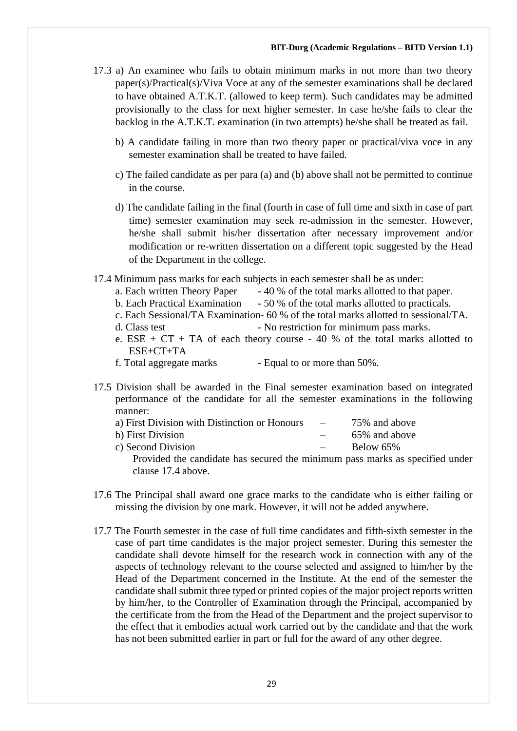- 17.3 a) An examinee who fails to obtain minimum marks in not more than two theory paper(s)/Practical(s)/Viva Voce at any of the semester examinations shall be declared to have obtained A.T.K.T. (allowed to keep term). Such candidates may be admitted provisionally to the class for next higher semester. In case he/she fails to clear the backlog in the A.T.K.T. examination (in two attempts) he/she shall be treated as fail.
	- b) A candidate failing in more than two theory paper or practical/viva voce in any semester examination shall be treated to have failed.
	- c) The failed candidate as per para (a) and (b) above shall not be permitted to continue in the course.
	- d) The candidate failing in the final (fourth in case of full time and sixth in case of part time) semester examination may seek re-admission in the semester. However, he/she shall submit his/her dissertation after necessary improvement and/or modification or re-written dissertation on a different topic suggested by the Head of the Department in the college.

17.4 Minimum pass marks for each subjects in each semester shall be as under:

- a. Each written Theory Paper 40 % of the total marks allotted to that paper.
- b. Each Practical Examination 50 % of the total marks allotted to practicals.
- c. Each Sessional/TA Examination- 60 % of the total marks allotted to sessional/TA.
- d. Class test No restriction for minimum pass marks.
- e. ESE +  $CT + TA$  of each theory course 40 % of the total marks allotted to  $ESE+CT+TA$
- f. Total aggregate marks Equal to or more than 50%.
- 17.5 Division shall be awarded in the Final semester examination based on integrated performance of the candidate for all the semester examinations in the following manner:

| a) First Division with Distinction or Honours | <b>Contract Contract</b> | 75% and above |
|-----------------------------------------------|--------------------------|---------------|
| b) First Division                             | <b>Service</b>           | 65% and above |
| c) Second Division                            |                          | Below 65%     |

Provided the candidate has secured the minimum pass marks as specified under clause 17.4 above.

- 17.6 The Principal shall award one grace marks to the candidate who is either failing or missing the division by one mark. However, it will not be added anywhere.
- 17.7 The Fourth semester in the case of full time candidates and fifth-sixth semester in the case of part time candidates is the major project semester. During this semester the candidate shall devote himself for the research work in connection with any of the aspects of technology relevant to the course selected and assigned to him/her by the Head of the Department concerned in the Institute. At the end of the semester the candidate shall submit three typed or printed copies of the major project reports written by him/her, to the Controller of Examination through the Principal, accompanied by the certificate from the from the Head of the Department and the project supervisor to the effect that it embodies actual work carried out by the candidate and that the work has not been submitted earlier in part or full for the award of any other degree.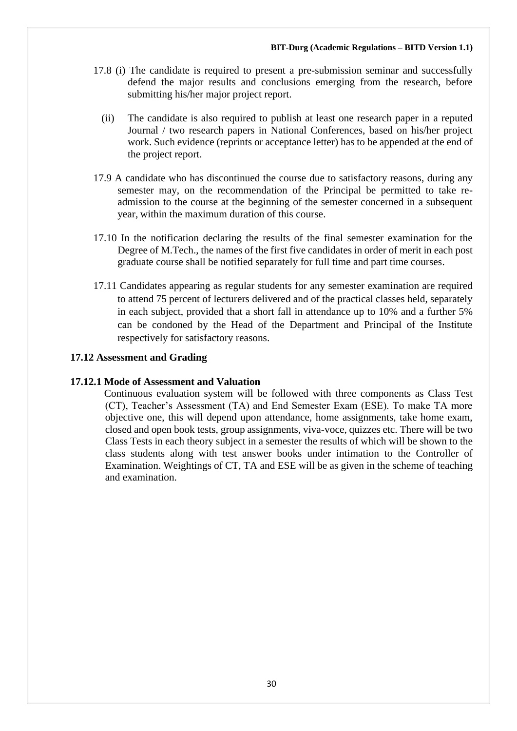- 17.8 (i) The candidate is required to present a pre-submission seminar and successfully defend the major results and conclusions emerging from the research, before submitting his/her major project report.
	- (ii) The candidate is also required to publish at least one research paper in a reputed Journal / two research papers in National Conferences, based on his/her project work. Such evidence (reprints or acceptance letter) has to be appended at the end of the project report.
- 17.9 A candidate who has discontinued the course due to satisfactory reasons, during any semester may, on the recommendation of the Principal be permitted to take readmission to the course at the beginning of the semester concerned in a subsequent year, within the maximum duration of this course.
- 17.10 In the notification declaring the results of the final semester examination for the Degree of M.Tech., the names of the first five candidates in order of merit in each post graduate course shall be notified separately for full time and part time courses.
- 17.11 Candidates appearing as regular students for any semester examination are required to attend 75 percent of lecturers delivered and of the practical classes held, separately in each subject, provided that a short fall in attendance up to 10% and a further 5% can be condoned by the Head of the Department and Principal of the Institute respectively for satisfactory reasons.

#### **17.12 Assessment and Grading**

#### **17.12.1 Mode of Assessment and Valuation**

Continuous evaluation system will be followed with three components as Class Test (CT), Teacher's Assessment (TA) and End Semester Exam (ESE). To make TA more objective one, this will depend upon attendance, home assignments, take home exam, closed and open book tests, group assignments, viva-voce, quizzes etc. There will be two Class Tests in each theory subject in a semester the results of which will be shown to the class students along with test answer books under intimation to the Controller of Examination. Weightings of CT, TA and ESE will be as given in the scheme of teaching and examination.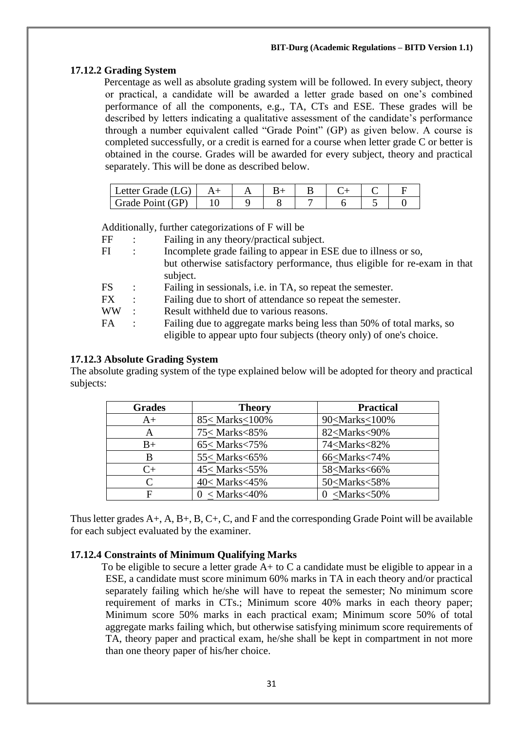### **17.12.2 Grading System**

Percentage as well as absolute grading system will be followed. In every subject, theory or practical, a candidate will be awarded a letter grade based on one's combined performance of all the components, e.g., TA, CTs and ESE. These grades will be described by letters indicating a qualitative assessment of the candidate's performance through a number equivalent called "Grade Point" (GP) as given below. A course is completed successfully, or a credit is earned for a course when letter grade C or better is obtained in the course. Grades will be awarded for every subject, theory and practical separately. This will be done as described below.

| Letter Grade $(LG)$ |  |  |  |  |
|---------------------|--|--|--|--|
| Grade Point (GP)    |  |  |  |  |

Additionally, further categorizations of F will be

| FF  | Failing in any theory/practical subject.                                  |
|-----|---------------------------------------------------------------------------|
| -FI | Incomplete grade failing to appear in ESE due to illness or so,           |
|     | but otherwise satisfactory performance, thus eligible for re-exam in that |
|     | subject.                                                                  |
| FS  | Failing in sessionals, i.e. in TA, so repeat the semester.                |

FX : Failing due to short of attendance so repeat the semester.

WW : Result withheld due to various reasons.

FA : Failing due to aggregate marks being less than 50% of total marks, so eligible to appear upto four subjects (theory only) of one's choice.

### **17.12.3 Absolute Grading System**

The absolute grading system of the type explained below will be adopted for theory and practical subjects:

| <b>Grades</b> | <b>Theory</b>                                                                | <b>Practical</b>                     |
|---------------|------------------------------------------------------------------------------|--------------------------------------|
| $A+$          | 85< Marks<100%                                                               | 90 <marks<100%< th=""></marks<100%<> |
| А             | 75 <marks<85%< th=""><th>82<marks<90%< th=""></marks<90%<></th></marks<85%<> | 82 <marks<90%< th=""></marks<90%<>   |
| $B+$          | $65<$ Marks $<$ 75%                                                          | 74 <marks<82%< th=""></marks<82%<>   |
| В             | 55< Marks<65%                                                                | 66 <marks<74%< th=""></marks<74%<>   |
| C+            | 45 <marks<55%< th=""><th>58<marks<66%< th=""></marks<66%<></th></marks<55%<> | 58 <marks<66%< th=""></marks<66%<>   |
|               | 40 <marks<45%< th=""><th>50<marks<58%< th=""></marks<58%<></th></marks<45%<> | 50 <marks<58%< th=""></marks<58%<>   |
| F             | $0 <$ Marks<40%                                                              | $0$ <marks<50%< th=""></marks<50%<>  |

Thus letter grades  $A_+, A, B_+, B, C_+, C$ , and F and the corresponding Grade Point will be available for each subject evaluated by the examiner.

### **17.12.4 Constraints of Minimum Qualifying Marks**

To be eligible to secure a letter grade  $A+$  to C a candidate must be eligible to appear in a ESE, a candidate must score minimum 60% marks in TA in each theory and/or practical separately failing which he/she will have to repeat the semester; No minimum score requirement of marks in CTs.; Minimum score 40% marks in each theory paper; Minimum score 50% marks in each practical exam; Minimum score 50% of total aggregate marks failing which, but otherwise satisfying minimum score requirements of TA, theory paper and practical exam, he/she shall be kept in compartment in not more than one theory paper of his/her choice.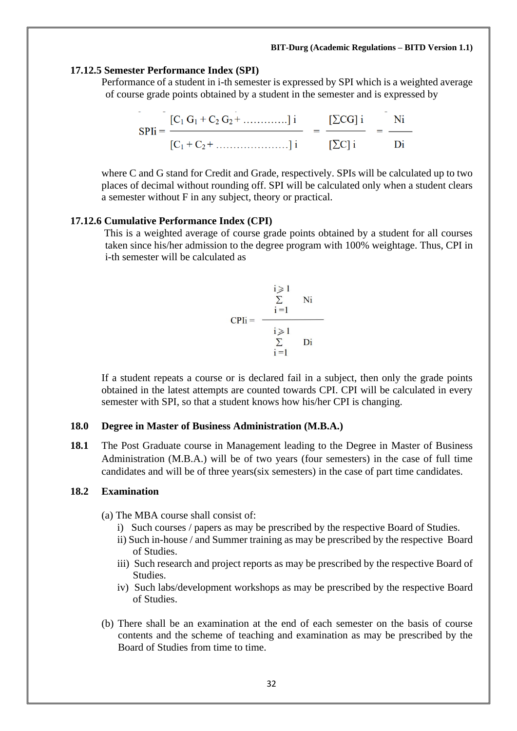#### **17.12.5 Semester Performance Index (SPI)**

Performance of a student in i-th semester is expressed by SPI which is a weighted average of course grade points obtained by a student in the semester and is expressed by

$$
SPIi = \frac{[C_1 G_1 + C_2 G_2 + \dots \dots \dots ]i}{[C_1 + C_2 + \dots \dots \dots ]i} = \frac{[\sum CG]i}{[\sum C]i} = \frac{Ni}{Di}
$$

where C and G stand for Credit and Grade, respectively. SPIs will be calculated up to two places of decimal without rounding off. SPI will be calculated only when a student clears a semester without F in any subject, theory or practical.

#### **17.12.6 Cumulative Performance Index (CPI)**

This is a weighted average of course grade points obtained by a student for all courses taken since his/her admission to the degree program with 100% weightage. Thus, CPI in i-th semester will be calculated as

$$
i \geq 1
$$
  
\n
$$
\sum_{i=1}^{i \geq 1}
$$
 Ni  
\n
$$
\sum_{i=1}^{i \geq 1}
$$
Di

If a student repeats a course or is declared fail in a subject, then only the grade points obtained in the latest attempts are counted towards CPI. CPI will be calculated in every semester with SPI, so that a student knows how his/her CPI is changing.

#### **18.0 Degree in Master of Business Administration (M.B.A.)**

**18.1** The Post Graduate course in Management leading to the Degree in Master of Business Administration (M.B.A.) will be of two years (four semesters) in the case of full time candidates and will be of three years(six semesters) in the case of part time candidates.

#### **18.2 Examination**

- (a) The MBA course shall consist of:
	- i) Such courses / papers as may be prescribed by the respective Board of Studies.
	- ii) Such in-house / and Summer training as may be prescribed by the respective Board of Studies.
	- iii) Such research and project reports as may be prescribed by the respective Board of Studies.
	- iv) Such labs/development workshops as may be prescribed by the respective Board of Studies.
- (b) There shall be an examination at the end of each semester on the basis of course contents and the scheme of teaching and examination as may be prescribed by the Board of Studies from time to time.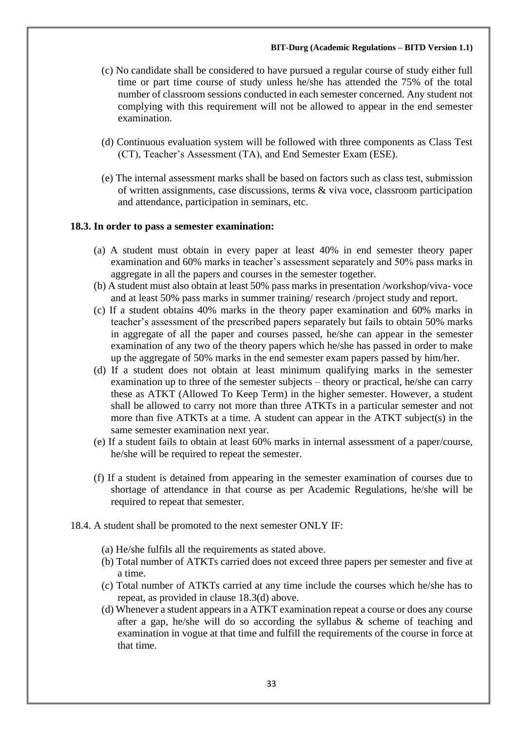- (c) No candidate shall be considered to have pursued a regular course of study either full time or part time course of study unless he/she has attended the 75% of the total number of classroom sessions conducted in each semester concerned. Any student not complying with this requirement will not be allowed to appear in the end semester examination.
- (d) Continuous evaluation system will be followed with three components as Class Test (CT), Teacher's Assessment (TA), and End Semester Exam (ESE).
- (e) The internal assessment marks shall be based on factors such as class test, submission of written assignments, case discussions, terms & viva voce, classroom participation and attendance, participation in seminars, etc.

#### **18.3. In order to pass a semester examination:**

- (a) A student must obtain in every paper at least 40% in end semester theory paper examination and 60% marks in teacher's assessment separately and 50% pass marks in aggregate in all the papers and courses in the semester together.
- (b) A student must also obtain at least 50% pass marks in presentation /workshop/viva- voce and at least 50% pass marks in summer training/ research /project study and report.
- (c) If a student obtains 40% marks in the theory paper examination and 60% marks in teacher's assessment of the prescribed papers separately but fails to obtain 50% marks in aggregate of all the paper and courses passed, he/she can appear in the semester examination of any two of the theory papers which he/she has passed in order to make up the aggregate of 50% marks in the end semester exam papers passed by him/her.
- (d) If a student does not obtain at least minimum qualifying marks in the semester examination up to three of the semester subjects – theory or practical, he/she can carry these as ATKT (Allowed To Keep Term) in the higher semester. However, a student shall be allowed to carry not more than three ATKTs in a particular semester and not more than five ATKTs at a time. A student can appear in the ATKT subject(s) in the same semester examination next year.
- (e) If a student fails to obtain at least 60% marks in internal assessment of a paper/course, he/she will be required to repeat the semester.
- (f) If a student is detained from appearing in the semester examination of courses due to shortage of attendance in that course as per Academic Regulations, he/she will be required to repeat that semester.
- 18.4. A student shall be promoted to the next semester ONLY IF:
	- (a) He/she fulfils all the requirements as stated above.
	- (b) Total number of ATKTs carried does not exceed three papers per semester and five at a time.
	- (c) Total number of ATKTs carried at any time include the courses which he/she has to repeat, as provided in clause 18.3(d) above.
	- (d) Whenever a student appears in a ATKT examination repeat a course or does any course after a gap, he/she will do so according the syllabus & scheme of teaching and examination in vogue at that time and fulfill the requirements of the course in force at that time.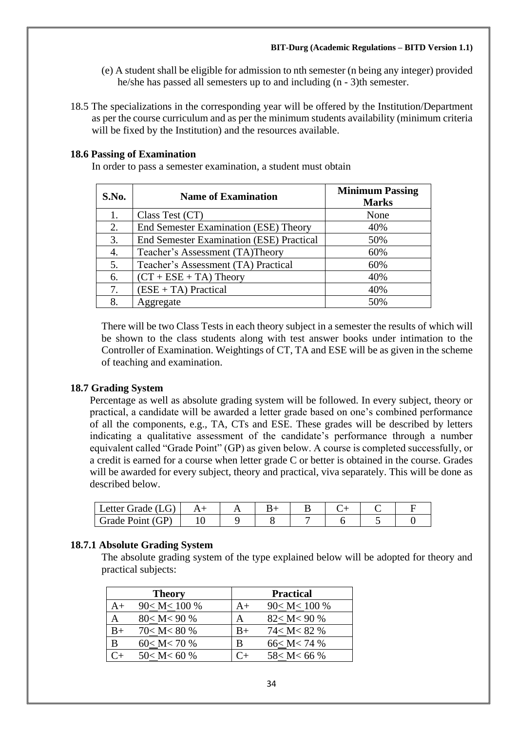- (e) A student shall be eligible for admission to nth semester (n being any integer) provided he/she has passed all semesters up to and including (n - 3)th semester.
- 18.5 The specializations in the corresponding year will be offered by the Institution/Department as per the course curriculum and as per the minimum students availability (minimum criteria will be fixed by the Institution) and the resources available.

### **18.6 Passing of Examination**

In order to pass a semester examination, a student must obtain

| S.No. | <b>Name of Examination</b>                      | <b>Minimum Passing</b><br><b>Marks</b> |
|-------|-------------------------------------------------|----------------------------------------|
|       | Class Test (CT)                                 | None                                   |
| 2.    | End Semester Examination (ESE) Theory           | 40%                                    |
| 3.    | <b>End Semester Examination (ESE) Practical</b> | 50%                                    |
| 4.    | Teacher's Assessment (TA)Theory                 | 60%                                    |
| 5.    | Teacher's Assessment (TA) Practical             | 60%                                    |
| 6.    | $(CT + ESE + TA)$ Theory                        | 40%                                    |
| 7.    | $(ESE + TA)$ Practical                          | 40%                                    |
| 8.    | Aggregate                                       | 50%                                    |

There will be two Class Tests in each theory subject in a semester the results of which will be shown to the class students along with test answer books under intimation to the Controller of Examination. Weightings of CT, TA and ESE will be as given in the scheme of teaching and examination.

### **18.7 Grading System**

Percentage as well as absolute grading system will be followed. In every subject, theory or practical, a candidate will be awarded a letter grade based on one's combined performance of all the components, e.g., TA, CTs and ESE. These grades will be described by letters indicating a qualitative assessment of the candidate's performance through a number equivalent called "Grade Point" (GP) as given below. A course is completed successfully, or a credit is earned for a course when letter grade C or better is obtained in the course. Grades will be awarded for every subject, theory and practical, viva separately. This will be done as described below.

| Letter Grade $(LG)$ |  |  |  |  |
|---------------------|--|--|--|--|
| Grade Point (GP)    |  |  |  |  |

# **18.7.1 Absolute Grading System**

The absolute grading system of the type explained below will be adopted for theory and practical subjects:

|      | <b>Theory</b>                                                              |      | <b>Practical</b>               |
|------|----------------------------------------------------------------------------|------|--------------------------------|
| $A+$ | $90 \leq M \leq 100$ %                                                     | $A+$ | 90 <m<100 %<="" td=""></m<100> |
| A    | 80 <m<90 %<="" td=""><td>А</td><td>82<m<90 %<="" td=""></m<90></td></m<90> | А    | 82 <m<90 %<="" td=""></m<90>   |
| $B+$ | 70 <m<80 %<="" td=""><td>B+</td><td>74<m<82%< td=""></m<82%<></td></m<80>  | B+   | 74 <m<82%< td=""></m<82%<>     |
| B    | 60 <m<70 %<="" td=""><td>B</td><td>66<m<74 %<="" td=""></m<74></td></m<70> | B    | 66 <m<74 %<="" td=""></m<74>   |
|      | $50 < M < 60$ %                                                            |      | 58 <m<66 %<="" td=""></m<66>   |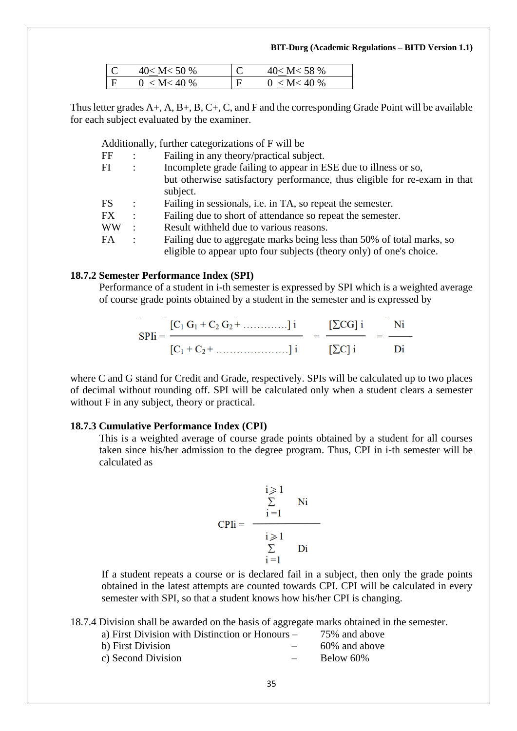| 40 < M < 50%  | 40 < M < 58%  |
|---------------|---------------|
| $< M < 40 \%$ | $< M < 40 \%$ |

Thus letter grades A+, A, B+, B, C+, C, and F and the corresponding Grade Point will be available for each subject evaluated by the examiner.

Additionally, further categorizations of F will be

| FF  | $\cdot$ :    | Failing in any theory/practical subject.                                  |
|-----|--------------|---------------------------------------------------------------------------|
| FI  | $\therefore$ | Incomplete grade failing to appear in ESE due to illness or so,           |
|     |              | but otherwise satisfactory performance, thus eligible for re-exam in that |
|     |              | subject.                                                                  |
| FS. | $\cdot$ :    | Failing in sessionals, i.e. in TA, so repeat the semester.                |
| FX. | $\cdot$      | Failing due to short of attendance so repeat the semester.                |
| WW  | $\cdot$ .    | Result withheld due to various reasons.                                   |
| FA. | $\cdot$ :    | Failing due to aggregate marks being less than 50% of total marks, so     |
|     |              | eligible to appear upto four subjects (theory only) of one's choice.      |
|     |              |                                                                           |

#### **18.7.2 Semester Performance Index (SPI)**

Performance of a student in i-th semester is expressed by SPI which is a weighted average of course grade points obtained by a student in the semester and is expressed by

$$
SPIi = \frac{[C_1 G_1 + C_2 G_2 + \dots \dots \dots ]i}{[C_1 + C_2 + \dots \dots \dots ]i} = \frac{[\Sigma CG]i}{[\Sigma C]i} = \frac{Ni}{Di}
$$

where C and G stand for Credit and Grade, respectively. SPIs will be calculated up to two places of decimal without rounding off. SPI will be calculated only when a student clears a semester without F in any subject, theory or practical.

#### **18.7.3 Cumulative Performance Index (CPI)**

This is a weighted average of course grade points obtained by a student for all courses taken since his/her admission to the degree program. Thus, CPI in i-th semester will be calculated as

$$
i \geq 1
$$
  
\n
$$
\sum_{i=1}^{i \geq 1} Ni
$$
  
\n
$$
CPIi = \frac{i \geq 1}{\sum_{i=1}^{i \geq 1} Di}
$$

If a student repeats a course or is declared fail in a subject, then only the grade points obtained in the latest attempts are counted towards CPI. CPI will be calculated in every semester with SPI, so that a student knows how his/her CPI is changing.

18.7.4 Division shall be awarded on the basis of aggregate marks obtained in the semester.

| a) First Division with Distinction or Honours – | 75% and above |
|-------------------------------------------------|---------------|
| b) First Division                               | 60% and above |
| c) Second Division                              | Below 60%     |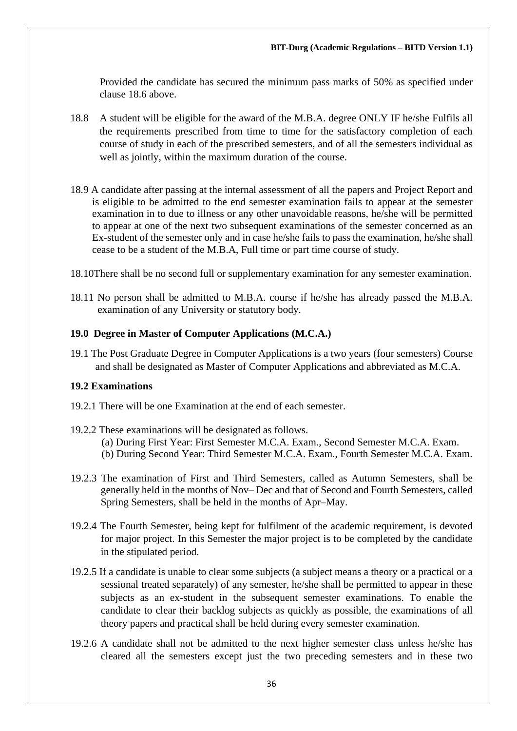Provided the candidate has secured the minimum pass marks of 50% as specified under clause 18.6 above.

- 18.8 A student will be eligible for the award of the M.B.A. degree ONLY IF he/she Fulfils all the requirements prescribed from time to time for the satisfactory completion of each course of study in each of the prescribed semesters, and of all the semesters individual as well as jointly, within the maximum duration of the course.
- 18.9 A candidate after passing at the internal assessment of all the papers and Project Report and is eligible to be admitted to the end semester examination fails to appear at the semester examination in to due to illness or any other unavoidable reasons, he/she will be permitted to appear at one of the next two subsequent examinations of the semester concerned as an Ex-student of the semester only and in case he/she fails to pass the examination, he/she shall cease to be a student of the M.B.A, Full time or part time course of study.
- 18.10There shall be no second full or supplementary examination for any semester examination.
- 18.11 No person shall be admitted to M.B.A. course if he/she has already passed the M.B.A. examination of any University or statutory body.

#### **19.0 Degree in Master of Computer Applications (M.C.A.)**

19.1 The Post Graduate Degree in Computer Applications is a two years (four semesters) Course and shall be designated as Master of Computer Applications and abbreviated as M.C.A.

#### **19.2 Examinations**

- 19.2.1 There will be one Examination at the end of each semester.
- 19.2.2 These examinations will be designated as follows.
	- (a) During First Year: First Semester M.C.A. Exam., Second Semester M.C.A. Exam. (b) During Second Year: Third Semester M.C.A. Exam., Fourth Semester M.C.A. Exam.
- 19.2.3 The examination of First and Third Semesters, called as Autumn Semesters, shall be generally held in the months of Nov– Dec and that of Second and Fourth Semesters, called Spring Semesters, shall be held in the months of Apr–May.
- 19.2.4 The Fourth Semester, being kept for fulfilment of the academic requirement, is devoted for major project. In this Semester the major project is to be completed by the candidate in the stipulated period.
- 19.2.5 If a candidate is unable to clear some subjects (a subject means a theory or a practical or a sessional treated separately) of any semester, he/she shall be permitted to appear in these subjects as an ex-student in the subsequent semester examinations. To enable the candidate to clear their backlog subjects as quickly as possible, the examinations of all theory papers and practical shall be held during every semester examination.
- 19.2.6 A candidate shall not be admitted to the next higher semester class unless he/she has cleared all the semesters except just the two preceding semesters and in these two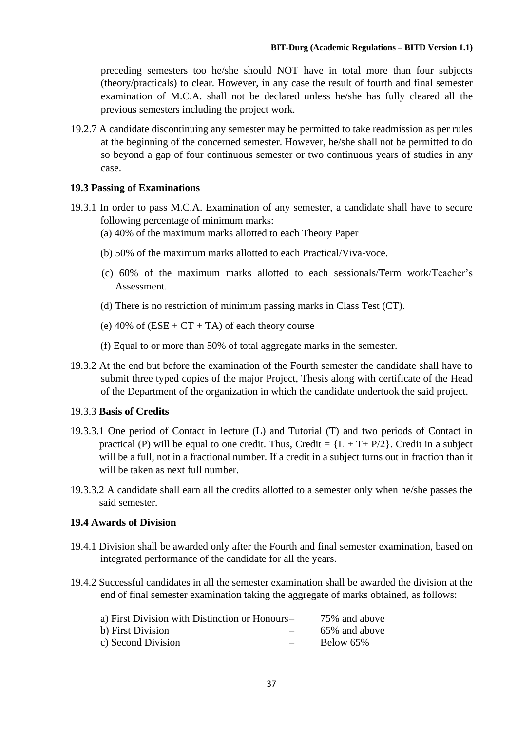preceding semesters too he/she should NOT have in total more than four subjects (theory/practicals) to clear. However, in any case the result of fourth and final semester examination of M.C.A. shall not be declared unless he/she has fully cleared all the previous semesters including the project work.

19.2.7 A candidate discontinuing any semester may be permitted to take readmission as per rules at the beginning of the concerned semester. However, he/she shall not be permitted to do so beyond a gap of four continuous semester or two continuous years of studies in any case.

#### **19.3 Passing of Examinations**

- 19.3.1 In order to pass M.C.A. Examination of any semester, a candidate shall have to secure following percentage of minimum marks:
	- (a) 40% of the maximum marks allotted to each Theory Paper
	- (b) 50% of the maximum marks allotted to each Practical/Viva-voce.
	- (c) 60% of the maximum marks allotted to each sessionals/Term work/Teacher's Assessment.
	- (d) There is no restriction of minimum passing marks in Class Test (CT).
	- (e) 40% of  $(ESE + CT + TA)$  of each theory course
	- (f) Equal to or more than 50% of total aggregate marks in the semester.
- 19.3.2 At the end but before the examination of the Fourth semester the candidate shall have to submit three typed copies of the major Project, Thesis along with certificate of the Head of the Department of the organization in which the candidate undertook the said project.

### 19.3.3 **Basis of Credits**

- 19.3.3.1 One period of Contact in lecture (L) and Tutorial (T) and two periods of Contact in practical (P) will be equal to one credit. Thus, Credit =  ${L + T + P/2}$ . Credit in a subject will be a full, not in a fractional number. If a credit in a subject turns out in fraction than it will be taken as next full number.
- 19.3.3.2 A candidate shall earn all the credits allotted to a semester only when he/she passes the said semester.

### **19.4 Awards of Division**

- 19.4.1 Division shall be awarded only after the Fourth and final semester examination, based on integrated performance of the candidate for all the years.
- 19.4.2 Successful candidates in all the semester examination shall be awarded the division at the end of final semester examination taking the aggregate of marks obtained, as follows:

| a) First Division with Distinction or Honours- |                | 75% and above |
|------------------------------------------------|----------------|---------------|
| b) First Division                              | <b>Service</b> | 65% and above |
| c) Second Division                             | $\sim$         | Below 65%     |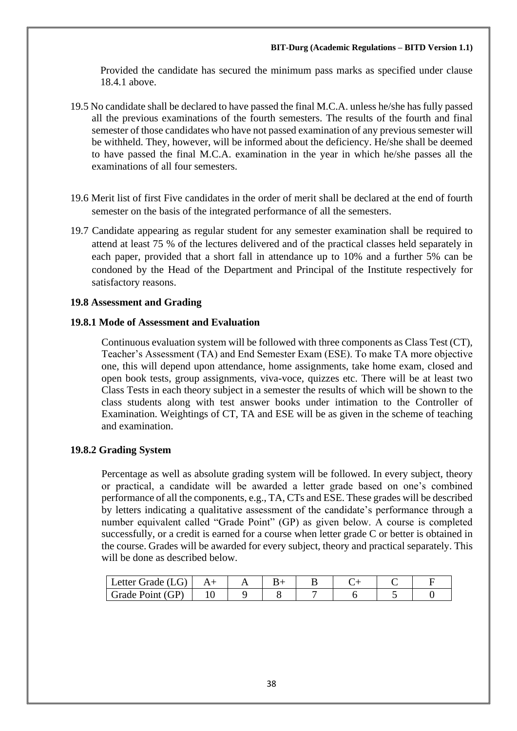Provided the candidate has secured the minimum pass marks as specified under clause 18.4.1 above.

- 19.5 No candidate shall be declared to have passed the final M.C.A. unless he/she has fully passed all the previous examinations of the fourth semesters. The results of the fourth and final semester of those candidates who have not passed examination of any previous semester will be withheld. They, however, will be informed about the deficiency. He/she shall be deemed to have passed the final M.C.A. examination in the year in which he/she passes all the examinations of all four semesters.
- 19.6 Merit list of first Five candidates in the order of merit shall be declared at the end of fourth semester on the basis of the integrated performance of all the semesters.
- 19.7 Candidate appearing as regular student for any semester examination shall be required to attend at least 75 % of the lectures delivered and of the practical classes held separately in each paper, provided that a short fall in attendance up to 10% and a further 5% can be condoned by the Head of the Department and Principal of the Institute respectively for satisfactory reasons.

### **19.8 Assessment and Grading**

# **19.8.1 Mode of Assessment and Evaluation**

Continuous evaluation system will be followed with three components as Class Test (CT), Teacher's Assessment (TA) and End Semester Exam (ESE). To make TA more objective one, this will depend upon attendance, home assignments, take home exam, closed and open book tests, group assignments, viva-voce, quizzes etc. There will be at least two Class Tests in each theory subject in a semester the results of which will be shown to the class students along with test answer books under intimation to the Controller of Examination. Weightings of CT, TA and ESE will be as given in the scheme of teaching and examination.

### **19.8.2 Grading System**

Percentage as well as absolute grading system will be followed. In every subject, theory or practical, a candidate will be awarded a letter grade based on one's combined performance of all the components, e.g., TA, CTs and ESE. These grades will be described by letters indicating a qualitative assessment of the candidate's performance through a number equivalent called "Grade Point" (GP) as given below. A course is completed successfully, or a credit is earned for a course when letter grade C or better is obtained in the course. Grades will be awarded for every subject, theory and practical separately. This will be done as described below.

| Letter Grade (LC<br>I ÷ 1<br>$\sim$ |  |  |  |  |
|-------------------------------------|--|--|--|--|
| Grade Point (GP)                    |  |  |  |  |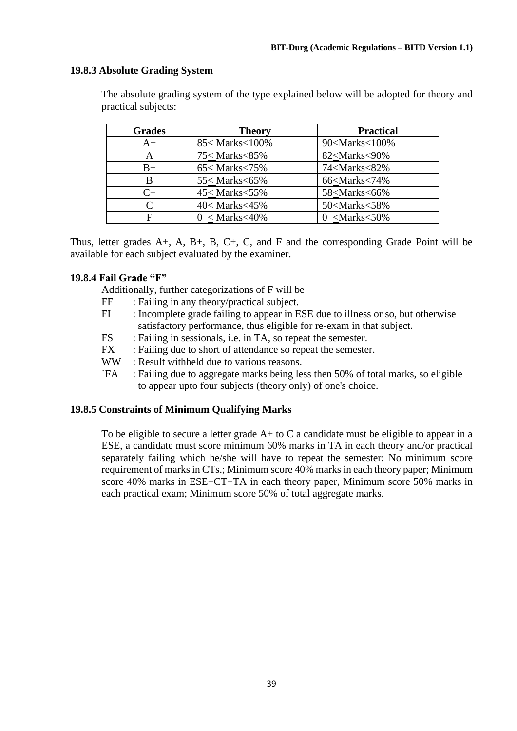### **19.8.3 Absolute Grading System**

The absolute grading system of the type explained below will be adopted for theory and practical subjects:

| <b>Grades</b> | <b>Theory</b>                                                                    | <b>Practical</b>                     |
|---------------|----------------------------------------------------------------------------------|--------------------------------------|
| $A+$          | 85 <marks<100%< td=""><td>90<marks<100%< td=""></marks<100%<></td></marks<100%<> | 90 <marks<100%< td=""></marks<100%<> |
| A             | 75 <marks<85%< td=""><td>82<marks<90%< td=""></marks<90%<></td></marks<85%<>     | 82 <marks<90%< td=""></marks<90%<>   |
| $B+$          | $65<$ Marks $<$ 75%                                                              | 74 <marks<82%< td=""></marks<82%<>   |
| В             | 55 <marks<65%< td=""><td>66<marks<74%< td=""></marks<74%<></td></marks<65%<>     | 66 <marks<74%< td=""></marks<74%<>   |
| U+            | 45 <marks<55%< td=""><td>58<marks<66%< td=""></marks<66%<></td></marks<55%<>     | 58 <marks<66%< td=""></marks<66%<>   |
|               | 40 <marks<45%< td=""><td>50<marks<58%< td=""></marks<58%<></td></marks<45%<>     | 50 <marks<58%< td=""></marks<58%<>   |
| F             | $0 <$ Marks<40%                                                                  | $0$ <marks <50%<="" td=""></marks>   |

Thus, letter grades A+, A, B+, B, C+, C, and F and the corresponding Grade Point will be available for each subject evaluated by the examiner.

### **19.8.4 Fail Grade "F"**

Additionally, further categorizations of F will be

- FF : Failing in any theory/practical subject.
- FI : Incomplete grade failing to appear in ESE due to illness or so, but otherwise satisfactory performance, thus eligible for re-exam in that subject.
- FS : Failing in sessionals, i.e. in TA, so repeat the semester.
- FX : Failing due to short of attendance so repeat the semester.
- WW : Result withheld due to various reasons.
- `FA : Failing due to aggregate marks being less then 50% of total marks, so eligible to appear upto four subjects (theory only) of one's choice.

### **19.8.5 Constraints of Minimum Qualifying Marks**

To be eligible to secure a letter grade  $A+$  to C a candidate must be eligible to appear in a ESE, a candidate must score minimum 60% marks in TA in each theory and/or practical separately failing which he/she will have to repeat the semester; No minimum score requirement of marks in CTs.; Minimum score 40% marks in each theory paper; Minimum score 40% marks in ESE+CT+TA in each theory paper, Minimum score 50% marks in each practical exam; Minimum score 50% of total aggregate marks.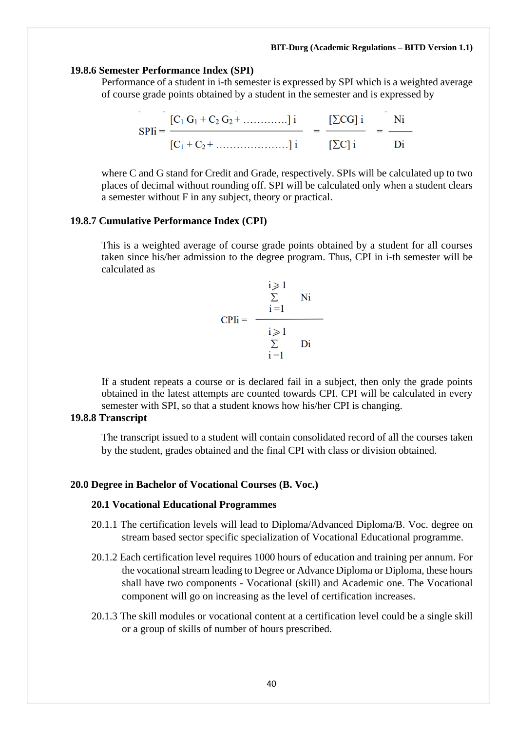#### **19.8.6 Semester Performance Index (SPI)**

Performance of a student in i-th semester is expressed by SPI which is a weighted average of course grade points obtained by a student in the semester and is expressed by

$$
SPIi = \frac{[C_1 G_1 + C_2 G_2 + \dots \dots \dots ]i}{[C_1 + C_2 + \dots \dots \dots ]i} = \frac{[\sum CG]i}{[\sum C]i} = \frac{Ni}{Di}
$$

where C and G stand for Credit and Grade, respectively. SPIs will be calculated up to two places of decimal without rounding off. SPI will be calculated only when a student clears a semester without F in any subject, theory or practical.

#### **19.8.7 Cumulative Performance Index (CPI)**

This is a weighted average of course grade points obtained by a student for all courses taken since his/her admission to the degree program. Thus, CPI in i-th semester will be calculated as

$$
CPIi = \frac{\sum_{i=1}^{i \geq 1} Ni}{\sum_{i=1}^{i \geq 1} Di}
$$

If a student repeats a course or is declared fail in a subject, then only the grade points obtained in the latest attempts are counted towards CPI. CPI will be calculated in every semester with SPI, so that a student knows how his/her CPI is changing.

#### **19.8.8 Transcript**

The transcript issued to a student will contain consolidated record of all the courses taken by the student, grades obtained and the final CPI with class or division obtained.

#### **20.0 Degree in Bachelor of Vocational Courses (B. Voc.)**

#### **20.1 Vocational Educational Programmes**

- 20.1.1 The certification levels will lead to Diploma/Advanced Diploma/B. Voc. degree on stream based sector specific specialization of Vocational Educational programme.
- 20.1.2 Each certification level requires 1000 hours of education and training per annum. For the vocational stream leading to Degree or Advance Diploma or Diploma, these hours shall have two components - Vocational (skill) and Academic one. The Vocational component will go on increasing as the level of certification increases.
- 20.1.3 The skill modules or vocational content at a certification level could be a single skill or a group of skills of number of hours prescribed.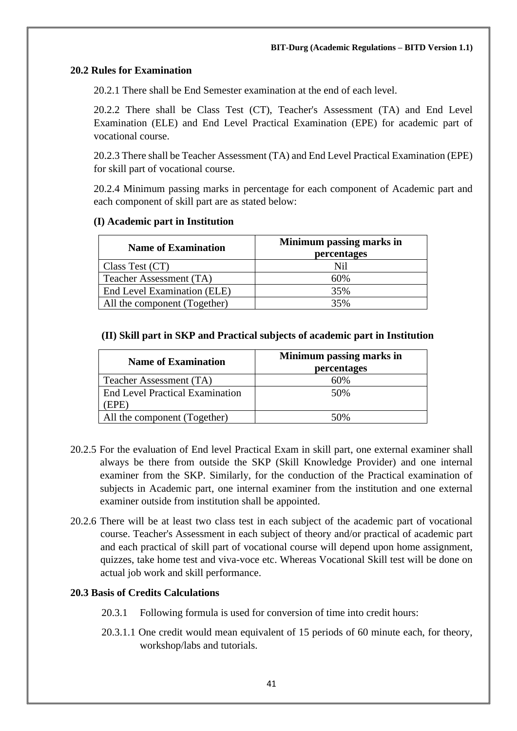### **20.2 Rules for Examination**

20.2.1 There shall be End Semester examination at the end of each level.

20.2.2 There shall be Class Test (CT), Teacher's Assessment (TA) and End Level Examination (ELE) and End Level Practical Examination (EPE) for academic part of vocational course.

20.2.3 There shall be Teacher Assessment (TA) and End Level Practical Examination (EPE) for skill part of vocational course.

20.2.4 Minimum passing marks in percentage for each component of Academic part and each component of skill part are as stated below:

#### **(I) Academic part in Institution**

| <b>Name of Examination</b>   | Minimum passing marks in<br>percentages |
|------------------------------|-----------------------------------------|
| Class Test (CT)              | Nil                                     |
| Teacher Assessment (TA)      | 60%                                     |
| End Level Examination (ELE)  | 35%                                     |
| All the component (Together) | 35%                                     |

#### **(II) Skill part in SKP and Practical subjects of academic part in Institution**

| <b>Name of Examination</b>                     | Minimum passing marks in<br>percentages |
|------------------------------------------------|-----------------------------------------|
| Teacher Assessment (TA)                        | 60%                                     |
| <b>End Level Practical Examination</b><br>EPE) | 50%                                     |
| All the component (Together)                   | 50%                                     |

- 20.2.5 For the evaluation of End level Practical Exam in skill part, one external examiner shall always be there from outside the SKP (Skill Knowledge Provider) and one internal examiner from the SKP. Similarly, for the conduction of the Practical examination of subjects in Academic part, one internal examiner from the institution and one external examiner outside from institution shall be appointed.
- 20.2.6 There will be at least two class test in each subject of the academic part of vocational course. Teacher's Assessment in each subject of theory and/or practical of academic part and each practical of skill part of vocational course will depend upon home assignment, quizzes, take home test and viva-voce etc. Whereas Vocational Skill test will be done on actual job work and skill performance.

### **20.3 Basis of Credits Calculations**

- 20.3.1 Following formula is used for conversion of time into credit hours:
- 20.3.1.1 One credit would mean equivalent of 15 periods of 60 minute each, for theory, workshop/labs and tutorials.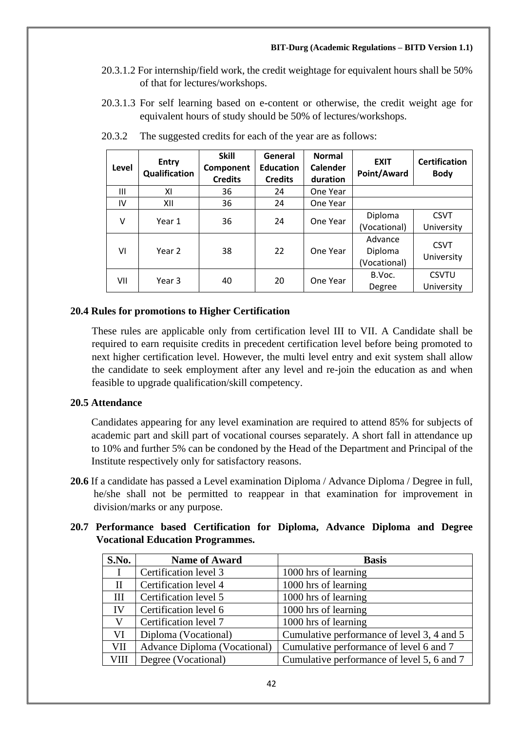- 20.3.1.2 For internship/field work, the credit weightage for equivalent hours shall be 50% of that for lectures/workshops.
- 20.3.1.3 For self learning based on e-content or otherwise, the credit weight age for equivalent hours of study should be 50% of lectures/workshops.

| Level          | <b>Entry</b><br>Qualification | <b>Skill</b><br>Component<br><b>Credits</b> | General<br><b>Education</b><br><b>Credits</b> | <b>Normal</b><br>Calender<br>duration | <b>EXIT</b><br>Point/Award         | <b>Certification</b><br><b>Body</b> |
|----------------|-------------------------------|---------------------------------------------|-----------------------------------------------|---------------------------------------|------------------------------------|-------------------------------------|
| $\mathbf{III}$ | ΧI                            | 36                                          | 24                                            | One Year                              |                                    |                                     |
| IV             | XII                           | 36                                          | 24                                            | One Year                              |                                    |                                     |
| v              | Year 1                        | 36                                          | 24                                            | One Year                              | Diploma<br>(Vocational)            | <b>CSVT</b><br>University           |
| VI             | Year 2                        | 38                                          | 22                                            | One Year                              | Advance<br>Diploma<br>(Vocational) | <b>CSVT</b><br>University           |
| VII            | Year 3                        | 40                                          | 20                                            | One Year                              | B.Voc.<br>Degree                   | <b>CSVTU</b><br>University          |

20.3.2 The suggested credits for each of the year are as follows:

### **20.4 Rules for promotions to Higher Certification**

These rules are applicable only from certification level III to VII. A Candidate shall be required to earn requisite credits in precedent certification level before being promoted to next higher certification level. However, the multi level entry and exit system shall allow the candidate to seek employment after any level and re-join the education as and when feasible to upgrade qualification/skill competency.

### **20.5 Attendance**

Candidates appearing for any level examination are required to attend 85% for subjects of academic part and skill part of vocational courses separately. A short fall in attendance up to 10% and further 5% can be condoned by the Head of the Department and Principal of the Institute respectively only for satisfactory reasons.

**20.6** If a candidate has passed a Level examination Diploma / Advance Diploma / Degree in full, he/she shall not be permitted to reappear in that examination for improvement in division/marks or any purpose.

| 20.7 Performance based Certification for Diploma, Advance Diploma and Degree |  |  |  |  |
|------------------------------------------------------------------------------|--|--|--|--|
| <b>Vocational Education Programmes.</b>                                      |  |  |  |  |

| S.No.    | <b>Name of Award</b>         | <b>Basis</b>                               |
|----------|------------------------------|--------------------------------------------|
|          | Certification level 3        | 1000 hrs of learning                       |
| $\rm II$ | Certification level 4        | 1000 hrs of learning                       |
| Ш        | Certification level 5        | 1000 hrs of learning                       |
| IV       | Certification level 6        | 1000 hrs of learning                       |
| V        | Certification level 7        | 1000 hrs of learning                       |
| VI       | Diploma (Vocational)         | Cumulative performance of level 3, 4 and 5 |
| VII      | Advance Diploma (Vocational) | Cumulative performance of level 6 and 7    |
| VIII     | Degree (Vocational)          | Cumulative performance of level 5, 6 and 7 |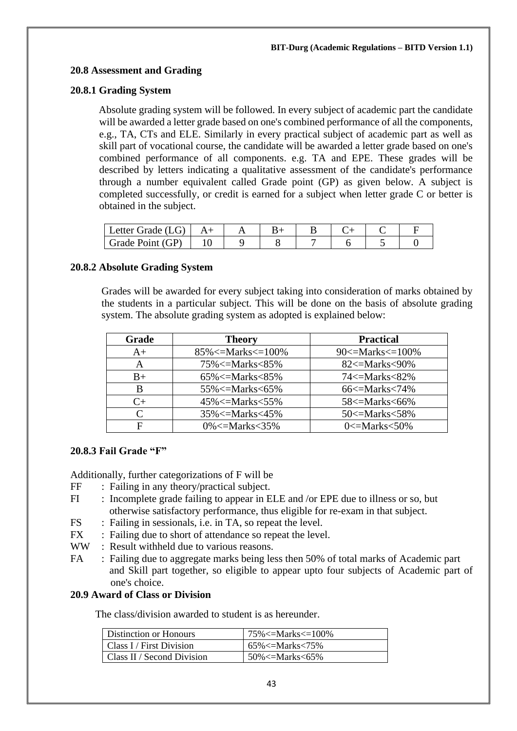### **20.8 Assessment and Grading**

#### **20.8.1 Grading System**

Absolute grading system will be followed. In every subject of academic part the candidate will be awarded a letter grade based on one's combined performance of all the components, e.g., TA, CTs and ELE. Similarly in every practical subject of academic part as well as skill part of vocational course, the candidate will be awarded a letter grade based on one's combined performance of all components. e.g. TA and EPE. These grades will be described by letters indicating a qualitative assessment of the candidate's performance through a number equivalent called Grade point (GP) as given below. A subject is completed successfully, or credit is earned for a subject when letter grade C or better is obtained in the subject.

| Grade $(LG)$<br>$\text{\textsterling}$ C |  |  |  |  |
|------------------------------------------|--|--|--|--|
| Grade Point (GP)                         |  |  |  |  |

#### **20.8.2 Absolute Grading System**

Grades will be awarded for every subject taking into consideration of marks obtained by the students in a particular subject. This will be done on the basis of absolute grading system. The absolute grading system as adopted is explained below:

| Grade     | <b>Theory</b>                | <b>Practical</b>            |
|-----------|------------------------------|-----------------------------|
| $A+$      | $85\% < = Marks < = 100\%$   | $90 \leq Marks \leq 100\%$  |
| A         | $75\% < = Marks < 85\%$      | $82 \leq$ Marks $\leq 90\%$ |
| $B+$      | 65% $<=$ Marks $<$ 85%       | $74 \leq$ Marks $\leq 82\%$ |
| В         | $55\% < = Marks < 65\%$      | $66 \leq$ Marks $\leq$ 74%  |
| $C_{\pm}$ | $45\% < = Marks < 55\%$      | 58<=Marks<66%               |
|           | $35\% < = Marks < 45\%$      | $50 \leq$ Marks $\leq 58\%$ |
| E         | 0\% $\leq$ Marks $\leq$ 35\% | $0 \leq Marks \leq 50\%$    |

#### **20.8.3 Fail Grade "F"**

Additionally, further categorizations of F will be

- FF : Failing in any theory/practical subject.
- FI : Incomplete grade failing to appear in ELE and /or EPE due to illness or so, but otherwise satisfactory performance, thus eligible for re-exam in that subject.
- FS : Failing in sessionals, i.e. in TA, so repeat the level.
- FX : Failing due to short of attendance so repeat the level.
- WW : Result withheld due to various reasons.
- FA : Failing due to aggregate marks being less then 50% of total marks of Academic part and Skill part together, so eligible to appear upto four subjects of Academic part of one's choice.

# **20.9 Award of Class or Division**

The class/division awarded to student is as hereunder.

| Distinction or Honours     | 75% $\leq$ Marks $\leq$ = 100% |
|----------------------------|--------------------------------|
| Class I / First Division   | $65\%$ $\leq$ Marks $\leq$ 75% |
| Class II / Second Division | $50\%$ $\leq$ Marks $\leq$ 65% |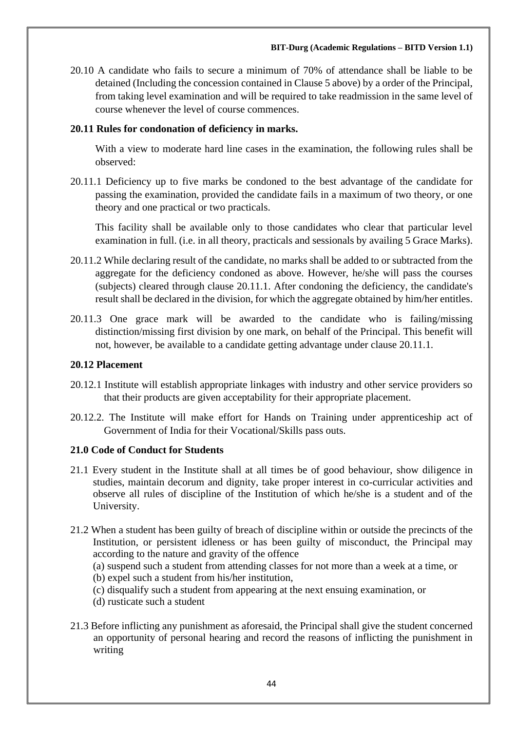20.10 A candidate who fails to secure a minimum of 70% of attendance shall be liable to be detained (Including the concession contained in Clause 5 above) by a order of the Principal, from taking level examination and will be required to take readmission in the same level of course whenever the level of course commences.

# **20.11 Rules for condonation of deficiency in marks.**

With a view to moderate hard line cases in the examination, the following rules shall be observed:

20.11.1 Deficiency up to five marks be condoned to the best advantage of the candidate for passing the examination, provided the candidate fails in a maximum of two theory, or one theory and one practical or two practicals.

This facility shall be available only to those candidates who clear that particular level examination in full. (i.e. in all theory, practicals and sessionals by availing 5 Grace Marks).

- 20.11.2 While declaring result of the candidate, no marks shall be added to or subtracted from the aggregate for the deficiency condoned as above. However, he/she will pass the courses (subjects) cleared through clause 20.11.1. After condoning the deficiency, the candidate's result shall be declared in the division, for which the aggregate obtained by him/her entitles.
- 20.11.3 One grace mark will be awarded to the candidate who is failing/missing distinction/missing first division by one mark, on behalf of the Principal. This benefit will not, however, be available to a candidate getting advantage under clause 20.11.1.

### **20.12 Placement**

- 20.12.1 Institute will establish appropriate linkages with industry and other service providers so that their products are given acceptability for their appropriate placement.
- 20.12.2. The Institute will make effort for Hands on Training under apprenticeship act of Government of India for their Vocational/Skills pass outs.

# **21.0 Code of Conduct for Students**

- 21.1 Every student in the Institute shall at all times be of good behaviour, show diligence in studies, maintain decorum and dignity, take proper interest in co-curricular activities and observe all rules of discipline of the Institution of which he/she is a student and of the University.
- 21.2 When a student has been guilty of breach of discipline within or outside the precincts of the Institution, or persistent idleness or has been guilty of misconduct, the Principal may according to the nature and gravity of the offence
	- (a) suspend such a student from attending classes for not more than a week at a time, or
	- (b) expel such a student from his/her institution,
	- (c) disqualify such a student from appearing at the next ensuing examination, or
	- (d) rusticate such a student
- 21.3 Before inflicting any punishment as aforesaid, the Principal shall give the student concerned an opportunity of personal hearing and record the reasons of inflicting the punishment in writing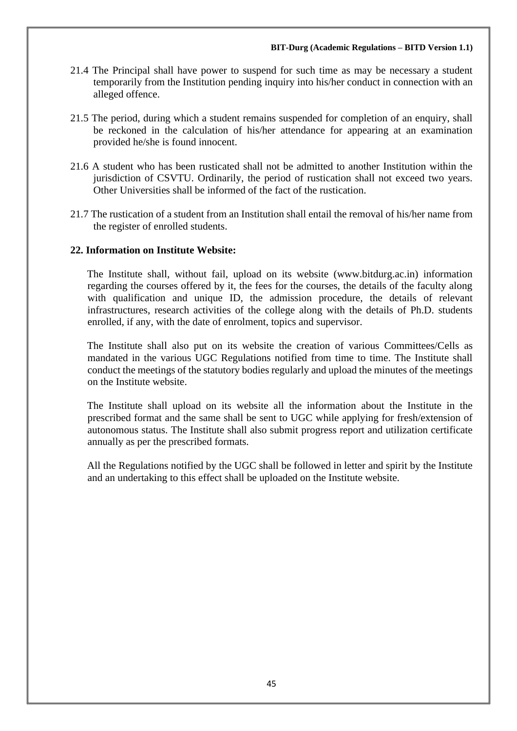- 21.4 The Principal shall have power to suspend for such time as may be necessary a student temporarily from the Institution pending inquiry into his/her conduct in connection with an alleged offence.
- 21.5 The period, during which a student remains suspended for completion of an enquiry, shall be reckoned in the calculation of his/her attendance for appearing at an examination provided he/she is found innocent.
- 21.6 A student who has been rusticated shall not be admitted to another Institution within the jurisdiction of CSVTU. Ordinarily, the period of rustication shall not exceed two years. Other Universities shall be informed of the fact of the rustication.
- 21.7 The rustication of a student from an Institution shall entail the removal of his/her name from the register of enrolled students.

#### **22. Information on Institute Website:**

The Institute shall, without fail, upload on its website (www.bitdurg.ac.in) information regarding the courses offered by it, the fees for the courses, the details of the faculty along with qualification and unique ID, the admission procedure, the details of relevant infrastructures, research activities of the college along with the details of Ph.D. students enrolled, if any, with the date of enrolment, topics and supervisor.

The Institute shall also put on its website the creation of various Committees/Cells as mandated in the various UGC Regulations notified from time to time. The Institute shall conduct the meetings of the statutory bodies regularly and upload the minutes of the meetings on the Institute website.

The Institute shall upload on its website all the information about the Institute in the prescribed format and the same shall be sent to UGC while applying for fresh/extension of autonomous status. The Institute shall also submit progress report and utilization certificate annually as per the prescribed formats.

All the Regulations notified by the UGC shall be followed in letter and spirit by the Institute and an undertaking to this effect shall be uploaded on the Institute website.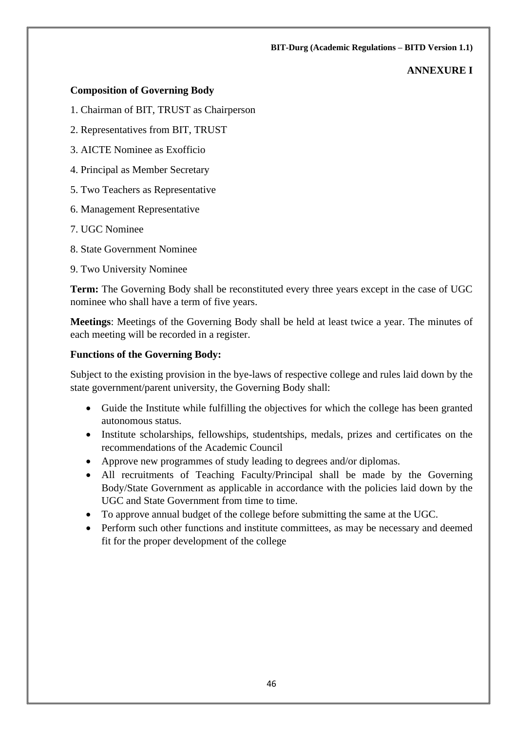#### **ANNEXURE I**

#### **Composition of Governing Body**

1. Chairman of BIT, TRUST as Chairperson

- 2. Representatives from BIT, TRUST
- 3. AICTE Nominee as Exofficio
- 4. Principal as Member Secretary
- 5. Two Teachers as Representative
- 6. Management Representative
- 7. UGC Nominee
- 8. State Government Nominee
- 9. Two University Nominee

**Term:** The Governing Body shall be reconstituted every three years except in the case of UGC nominee who shall have a term of five years.

**Meetings**: Meetings of the Governing Body shall be held at least twice a year. The minutes of each meeting will be recorded in a register.

#### **Functions of the Governing Body:**

Subject to the existing provision in the bye-laws of respective college and rules laid down by the state government/parent university, the Governing Body shall:

- Guide the Institute while fulfilling the objectives for which the college has been granted autonomous status.
- Institute scholarships, fellowships, studentships, medals, prizes and certificates on the recommendations of the Academic Council
- Approve new programmes of study leading to degrees and/or diplomas.
- All recruitments of Teaching Faculty/Principal shall be made by the Governing Body/State Government as applicable in accordance with the policies laid down by the UGC and State Government from time to time.
- To approve annual budget of the college before submitting the same at the UGC.
- Perform such other functions and institute committees, as may be necessary and deemed fit for the proper development of the college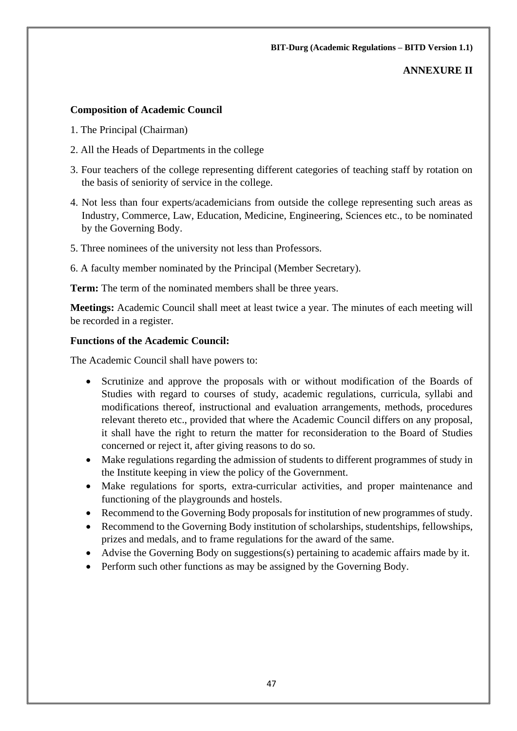### **ANNEXURE II**

### **Composition of Academic Council**

- 1. The Principal (Chairman)
- 2. All the Heads of Departments in the college
- 3. Four teachers of the college representing different categories of teaching staff by rotation on the basis of seniority of service in the college.
- 4. Not less than four experts/academicians from outside the college representing such areas as Industry, Commerce, Law, Education, Medicine, Engineering, Sciences etc., to be nominated by the Governing Body.
- 5. Three nominees of the university not less than Professors.
- 6. A faculty member nominated by the Principal (Member Secretary).

**Term:** The term of the nominated members shall be three years.

**Meetings:** Academic Council shall meet at least twice a year. The minutes of each meeting will be recorded in a register.

### **Functions of the Academic Council:**

The Academic Council shall have powers to:

- Scrutinize and approve the proposals with or without modification of the Boards of Studies with regard to courses of study, academic regulations, curricula, syllabi and modifications thereof, instructional and evaluation arrangements, methods, procedures relevant thereto etc., provided that where the Academic Council differs on any proposal, it shall have the right to return the matter for reconsideration to the Board of Studies concerned or reject it, after giving reasons to do so.
- Make regulations regarding the admission of students to different programmes of study in the Institute keeping in view the policy of the Government.
- Make regulations for sports, extra-curricular activities, and proper maintenance and functioning of the playgrounds and hostels.
- Recommend to the Governing Body proposals for institution of new programmes of study.
- Recommend to the Governing Body institution of scholarships, studentships, fellowships, prizes and medals, and to frame regulations for the award of the same.
- Advise the Governing Body on suggestions(s) pertaining to academic affairs made by it.
- Perform such other functions as may be assigned by the Governing Body.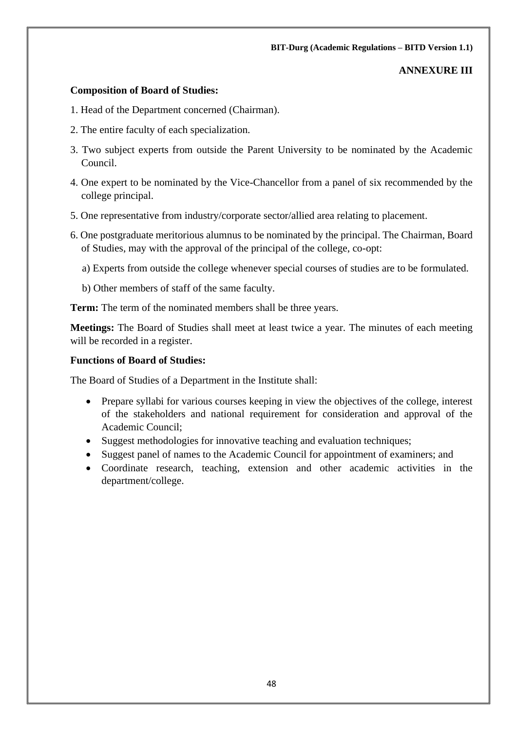### **ANNEXURE III**

#### **Composition of Board of Studies:**

- 1. Head of the Department concerned (Chairman).
- 2. The entire faculty of each specialization.
- 3. Two subject experts from outside the Parent University to be nominated by the Academic Council.
- 4. One expert to be nominated by the Vice-Chancellor from a panel of six recommended by the college principal.
- 5. One representative from industry/corporate sector/allied area relating to placement.
- 6. One postgraduate meritorious alumnus to be nominated by the principal. The Chairman, Board of Studies, may with the approval of the principal of the college, co-opt:
	- a) Experts from outside the college whenever special courses of studies are to be formulated.
	- b) Other members of staff of the same faculty.

**Term:** The term of the nominated members shall be three years.

**Meetings:** The Board of Studies shall meet at least twice a year. The minutes of each meeting will be recorded in a register.

#### **Functions of Board of Studies:**

The Board of Studies of a Department in the Institute shall:

- Prepare syllabi for various courses keeping in view the objectives of the college, interest of the stakeholders and national requirement for consideration and approval of the Academic Council;
- Suggest methodologies for innovative teaching and evaluation techniques;
- Suggest panel of names to the Academic Council for appointment of examiners; and
- Coordinate research, teaching, extension and other academic activities in the department/college.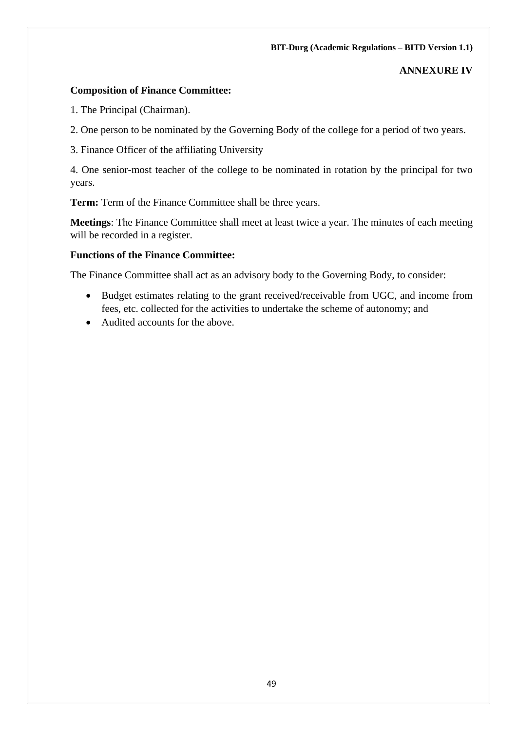#### **ANNEXURE IV**

#### **Composition of Finance Committee:**

1. The Principal (Chairman).

- 2. One person to be nominated by the Governing Body of the college for a period of two years.
- 3. Finance Officer of the affiliating University

4. One senior-most teacher of the college to be nominated in rotation by the principal for two years.

**Term:** Term of the Finance Committee shall be three years.

**Meetings**: The Finance Committee shall meet at least twice a year. The minutes of each meeting will be recorded in a register.

### **Functions of the Finance Committee:**

The Finance Committee shall act as an advisory body to the Governing Body, to consider:

- Budget estimates relating to the grant received/receivable from UGC, and income from fees, etc. collected for the activities to undertake the scheme of autonomy; and
- Audited accounts for the above.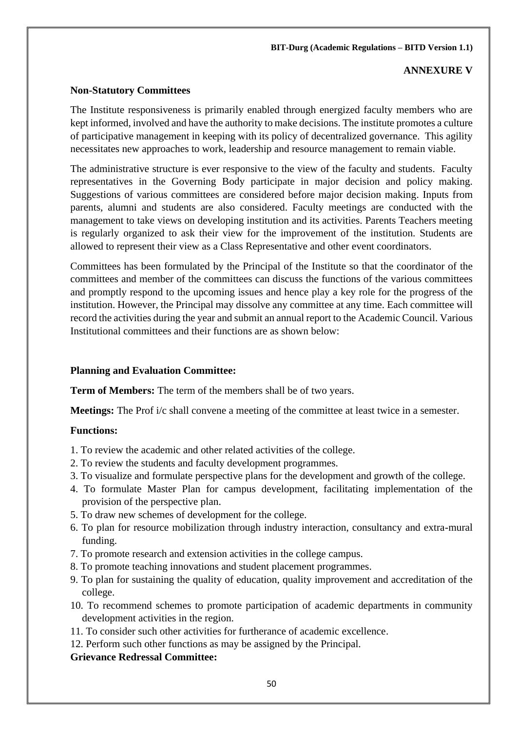# **ANNEXURE V**

#### **Non-Statutory Committees**

The Institute responsiveness is primarily enabled through energized faculty members who are kept informed, involved and have the authority to make decisions. The institute promotes a culture of participative management in keeping with its policy of decentralized governance. This agility necessitates new approaches to work, leadership and resource management to remain viable.

The administrative structure is ever responsive to the view of the faculty and students. Faculty representatives in the Governing Body participate in major decision and policy making. Suggestions of various committees are considered before major decision making. Inputs from parents, alumni and students are also considered. Faculty meetings are conducted with the management to take views on developing institution and its activities. Parents Teachers meeting is regularly organized to ask their view for the improvement of the institution. Students are allowed to represent their view as a Class Representative and other event coordinators.

Committees has been formulated by the Principal of the Institute so that the coordinator of the committees and member of the committees can discuss the functions of the various committees and promptly respond to the upcoming issues and hence play a key role for the progress of the institution. However, the Principal may dissolve any committee at any time. Each committee will record the activities during the year and submit an annual report to the Academic Council. Various Institutional committees and their functions are as shown below:

#### **Planning and Evaluation Committee:**

**Term of Members:** The term of the members shall be of two years.

**Meetings:** The Prof i/c shall convene a meeting of the committee at least twice in a semester.

### **Functions:**

- 1. To review the academic and other related activities of the college.
- 2. To review the students and faculty development programmes.
- 3. To visualize and formulate perspective plans for the development and growth of the college.
- 4. To formulate Master Plan for campus development, facilitating implementation of the provision of the perspective plan.
- 5. To draw new schemes of development for the college.
- 6. To plan for resource mobilization through industry interaction, consultancy and extra-mural funding.
- 7. To promote research and extension activities in the college campus.
- 8. To promote teaching innovations and student placement programmes.
- 9. To plan for sustaining the quality of education, quality improvement and accreditation of the college.
- 10. To recommend schemes to promote participation of academic departments in community development activities in the region.
- 11. To consider such other activities for furtherance of academic excellence.
- 12. Perform such other functions as may be assigned by the Principal.

### **Grievance Redressal Committee:**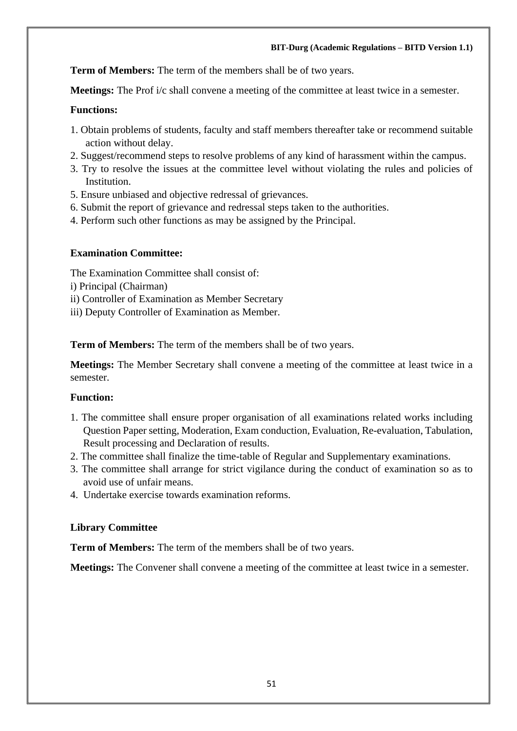**Term of Members:** The term of the members shall be of two years.

**Meetings:** The Prof i/c shall convene a meeting of the committee at least twice in a semester.

# **Functions:**

- 1. Obtain problems of students, faculty and staff members thereafter take or recommend suitable action without delay.
- 2. Suggest/recommend steps to resolve problems of any kind of harassment within the campus.
- 3. Try to resolve the issues at the committee level without violating the rules and policies of **Institution**
- 5. Ensure unbiased and objective redressal of grievances.
- 6. Submit the report of grievance and redressal steps taken to the authorities.
- 4. Perform such other functions as may be assigned by the Principal.

# **Examination Committee:**

The Examination Committee shall consist of:

i) Principal (Chairman)

ii) Controller of Examination as Member Secretary

iii) Deputy Controller of Examination as Member.

**Term of Members:** The term of the members shall be of two years.

**Meetings:** The Member Secretary shall convene a meeting of the committee at least twice in a semester.

### **Function:**

- 1. The committee shall ensure proper organisation of all examinations related works including Question Paper setting, Moderation, Exam conduction, Evaluation, Re-evaluation, Tabulation, Result processing and Declaration of results.
- 2. The committee shall finalize the time-table of Regular and Supplementary examinations.
- 3. The committee shall arrange for strict vigilance during the conduct of examination so as to avoid use of unfair means.
- 4. Undertake exercise towards examination reforms.

# **Library Committee**

**Term of Members:** The term of the members shall be of two years.

**Meetings:** The Convener shall convene a meeting of the committee at least twice in a semester.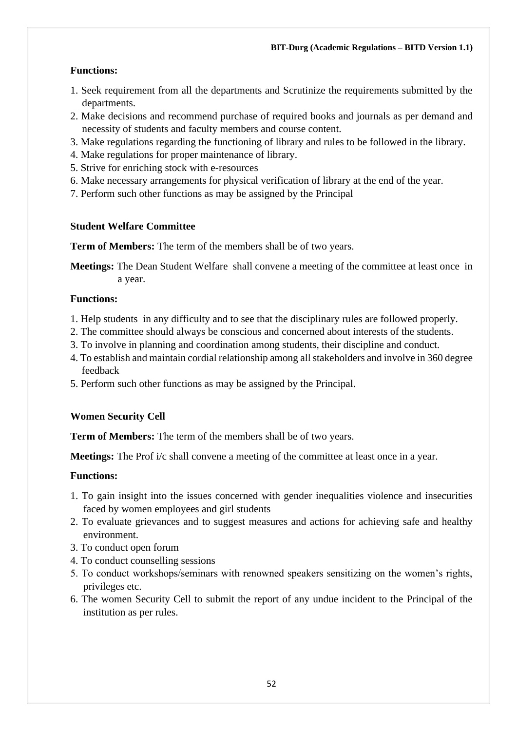# **Functions:**

- 1. Seek requirement from all the departments and Scrutinize the requirements submitted by the departments.
- 2. Make decisions and recommend purchase of required books and journals as per demand and necessity of students and faculty members and course content.
- 3. Make regulations regarding the functioning of library and rules to be followed in the library.
- 4. Make regulations for proper maintenance of library.
- 5. Strive for enriching stock with e-resources
- 6. Make necessary arrangements for physical verification of library at the end of the year.
- 7. Perform such other functions as may be assigned by the Principal

# **Student Welfare Committee**

**Term of Members:** The term of the members shall be of two years.

**Meetings:** The Dean Student Welfare shall convene a meeting of the committee at least once in a year.

### **Functions:**

- 1. Help students in any difficulty and to see that the disciplinary rules are followed properly.
- 2. The committee should always be conscious and concerned about interests of the students.
- 3. To involve in planning and coordination among students, their discipline and conduct.
- 4. To establish and maintain cordial relationship among all stakeholders and involve in 360 degree feedback
- 5. Perform such other functions as may be assigned by the Principal.

# **Women Security Cell**

**Term of Members:** The term of the members shall be of two years.

**Meetings:** The Prof i/c shall convene a meeting of the committee at least once in a year.

### **Functions:**

- 1. To gain insight into the issues concerned with gender inequalities violence and insecurities faced by women employees and girl students
- 2. To evaluate grievances and to suggest measures and actions for achieving safe and healthy environment.
- 3. To conduct open forum
- 4. To conduct counselling sessions
- 5. To conduct workshops/seminars with renowned speakers sensitizing on the women's rights, privileges etc.
- 6. The women Security Cell to submit the report of any undue incident to the Principal of the institution as per rules.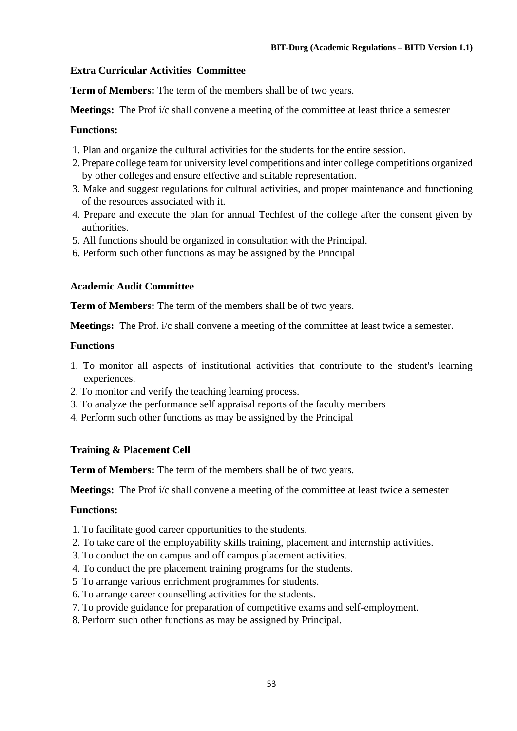### **Extra Curricular Activities Committee**

**Term of Members:** The term of the members shall be of two years.

**Meetings:** The Prof i/c shall convene a meeting of the committee at least thrice a semester

# **Functions:**

- 1. Plan and organize the cultural activities for the students for the entire session.
- 2. Prepare college team for university level competitions and inter college competitions organized by other colleges and ensure effective and suitable representation.
- 3. Make and suggest regulations for cultural activities, and proper maintenance and functioning of the resources associated with it.
- 4. Prepare and execute the plan for annual Techfest of the college after the consent given by authorities.
- 5. All functions should be organized in consultation with the Principal.
- 6. Perform such other functions as may be assigned by the Principal

# **Academic Audit Committee**

**Term of Members:** The term of the members shall be of two years.

**Meetings:** The Prof. i/c shall convene a meeting of the committee at least twice a semester.

# **Functions**

- 1. To monitor all aspects of institutional activities that contribute to the student's learning experiences.
- 2. To monitor and verify the teaching learning process.
- 3. To analyze the performance self appraisal reports of the faculty members
- 4. Perform such other functions as may be assigned by the Principal

# **Training & Placement Cell**

**Term of Members:** The term of the members shall be of two years.

**Meetings:** The Prof i/c shall convene a meeting of the committee at least twice a semester

# **Functions:**

- 1. To facilitate good career opportunities to the students.
- 2. To take care of the employability skills training, placement and internship activities.
- 3. To conduct the on campus and off campus placement activities.
- 4. To conduct the pre placement training programs for the students.
- 5 To arrange various enrichment programmes for students.
- 6. To arrange career counselling activities for the students.
- 7. To provide guidance for preparation of competitive exams and self-employment.
- 8. Perform such other functions as may be assigned by Principal.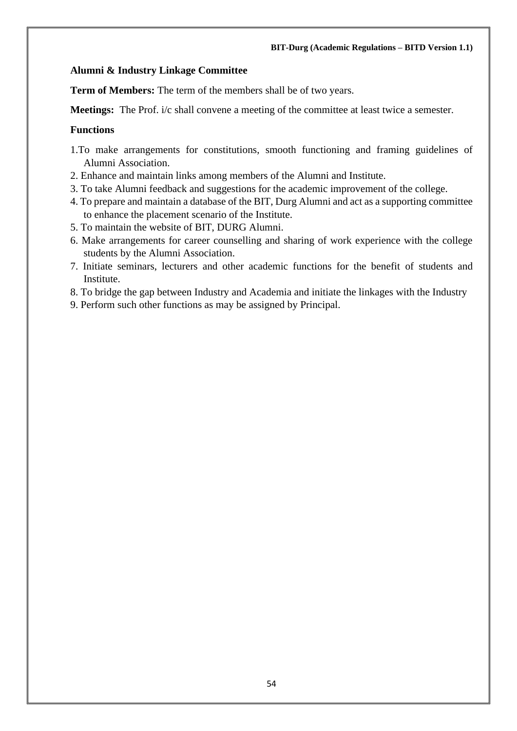# **Alumni & Industry Linkage Committee**

**Term of Members:** The term of the members shall be of two years.

**Meetings:** The Prof. i/c shall convene a meeting of the committee at least twice a semester.

# **Functions**

- 1.To make arrangements for constitutions, smooth functioning and framing guidelines of Alumni Association.
- 2. Enhance and maintain links among members of the Alumni and Institute.
- 3. To take Alumni feedback and suggestions for the academic improvement of the college.
- 4. To prepare and maintain a database of the BIT, Durg Alumni and act as a supporting committee to enhance the placement scenario of the Institute.
- 5. To maintain the website of BIT, DURG Alumni.
- 6. Make arrangements for career counselling and sharing of work experience with the college students by the Alumni Association.
- 7. Initiate seminars, lecturers and other academic functions for the benefit of students and Institute.
- 8. To bridge the gap between Industry and Academia and initiate the linkages with the Industry
- 9. Perform such other functions as may be assigned by Principal.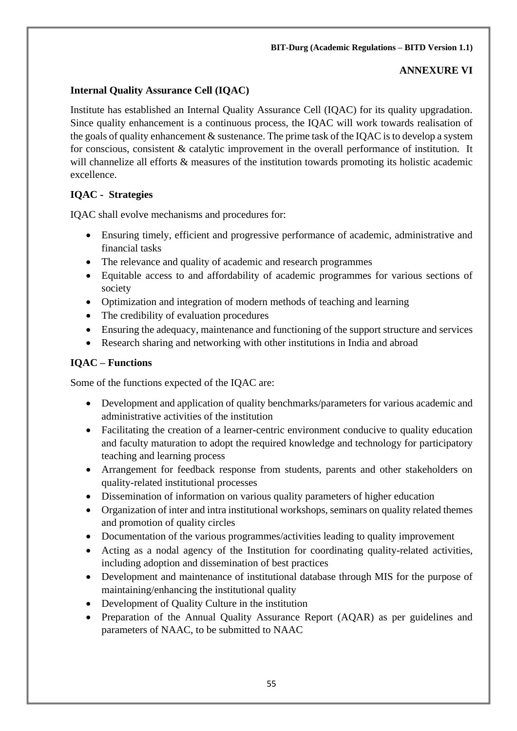# **ANNEXURE VI**

# **Internal Quality Assurance Cell (IQAC)**

Institute has established an Internal Quality Assurance Cell (IQAC) for its quality upgradation. Since quality enhancement is a continuous process, the IQAC will work towards realisation of the goals of quality enhancement  $\&$  sustenance. The prime task of the IQAC is to develop a system for conscious, consistent & catalytic improvement in the overall performance of institution. It will channelize all efforts  $\&$  measures of the institution towards promoting its holistic academic excellence.

# **IQAC - Strategies**

IQAC shall evolve mechanisms and procedures for:

- Ensuring timely, efficient and progressive performance of academic, administrative and financial tasks
- The relevance and quality of academic and research programmes
- Equitable access to and affordability of academic programmes for various sections of society
- Optimization and integration of modern methods of teaching and learning
- The credibility of evaluation procedures
- Ensuring the adequacy, maintenance and functioning of the support structure and services
- Research sharing and networking with other institutions in India and abroad

# **IQAC – Functions**

Some of the functions expected of the IQAC are:

- Development and application of quality benchmarks/parameters for various academic and administrative activities of the institution
- Facilitating the creation of a learner-centric environment conducive to quality education and faculty maturation to adopt the required knowledge and technology for participatory teaching and learning process
- Arrangement for feedback response from students, parents and other stakeholders on quality-related institutional processes
- Dissemination of information on various quality parameters of higher education
- Organization of inter and intra institutional workshops, seminars on quality related themes and promotion of quality circles
- Documentation of the various programmes/activities leading to quality improvement
- Acting as a nodal agency of the Institution for coordinating quality-related activities, including adoption and dissemination of best practices
- Development and maintenance of institutional database through MIS for the purpose of maintaining/enhancing the institutional quality
- Development of Quality Culture in the institution
- Preparation of the Annual Quality Assurance Report (AQAR) as per guidelines and parameters of NAAC, to be submitted to NAAC